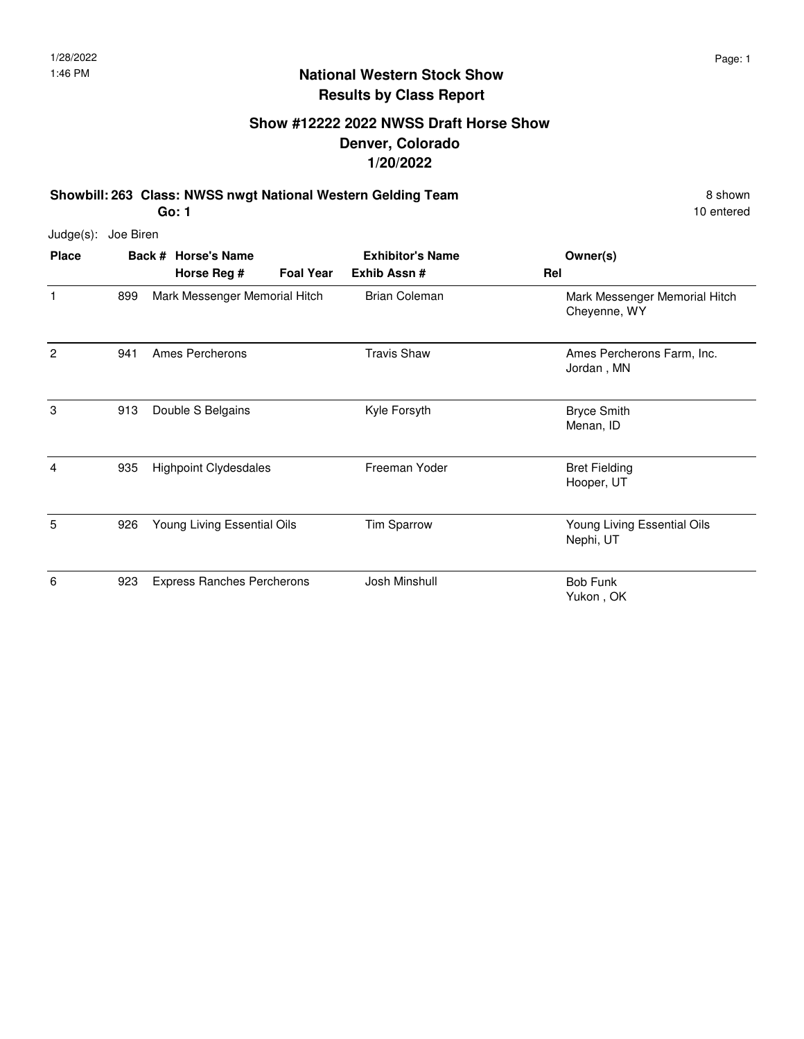#### **Show #12222 2022 NWSS Draft Horse Show Denver, Colorado 1/20/2022**

**Showbill: 263 Class: NWSS nwgt National Western Gelding Team** 8 Shown 8 shown **Go: 1**

| Judge(s):      | Joe Biren |                                    |                  |                                         |                                               |
|----------------|-----------|------------------------------------|------------------|-----------------------------------------|-----------------------------------------------|
| <b>Place</b>   |           | Back # Horse's Name<br>Horse Reg # | <b>Foal Year</b> | <b>Exhibitor's Name</b><br>Exhib Assn # | Owner(s)<br>Rel                               |
| 1              | 899       | Mark Messenger Memorial Hitch      |                  | <b>Brian Coleman</b>                    | Mark Messenger Memorial Hitch<br>Cheyenne, WY |
| $\overline{2}$ | 941       | Ames Percherons                    |                  | <b>Travis Shaw</b>                      | Ames Percherons Farm, Inc.<br>Jordan, MN      |
| 3              | 913       | Double S Belgains                  |                  | Kyle Forsyth                            | <b>Bryce Smith</b><br>Menan, ID               |
| 4              | 935       | <b>Highpoint Clydesdales</b>       |                  | Freeman Yoder                           | <b>Bret Fielding</b><br>Hooper, UT            |
| 5              | 926       | Young Living Essential Oils        |                  | Tim Sparrow                             | Young Living Essential Oils<br>Nephi, UT      |
| 6              | 923       | <b>Express Ranches Percherons</b>  |                  | Josh Minshull                           | <b>Bob Funk</b><br>Yukon, OK                  |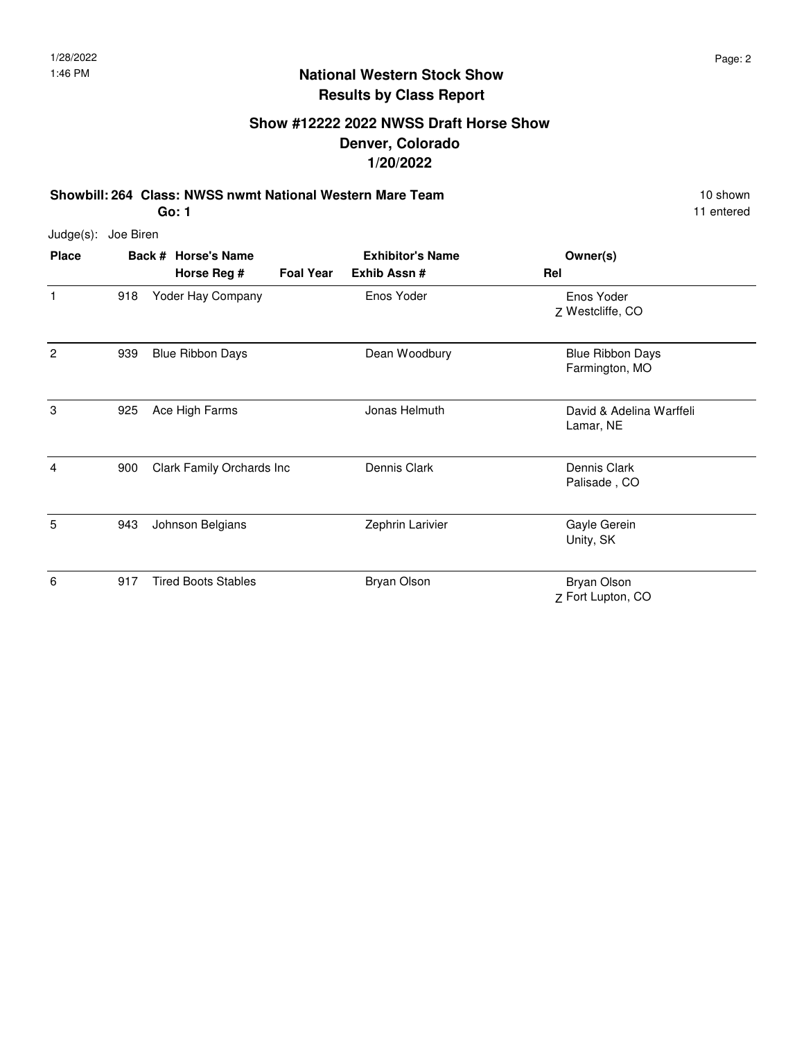#### **Show #12222 2022 NWSS Draft Horse Show Denver, Colorado 1/20/2022**

**Showbill: 264 Class: NWSS nwmt National Western Mare Team 10 shown 10 shown 10 shown Go: 1**

11 entered

Judge(s): Joe Biren **Back # Horse's Name Place Owner(s) Horse Reg # Exhib Assn # Foal Year Rel Exhibitor's Name** 1 Z Westcliffe, CO Enos Yoder 918 Yoder Hay Company **Enos Yoder** 2 Blue Ribbon Days 939 Blue Ribbon Days Dean Woodbury Farmington, MO 3 925 Ace High Farms **David & Adelina Warffeli** Lamar, NE Ace High Farms 4 Dennis Clark 900 Clark Family Orchards Inc Dennis Clark Palisade , CO 5 Gayle Gerein 943 Johnson Belgians Zephrin Larivier Unity, SK 6 Z Fort Lupton, CO Bryan Olson 917 Tired Boots Stables Bryan Olson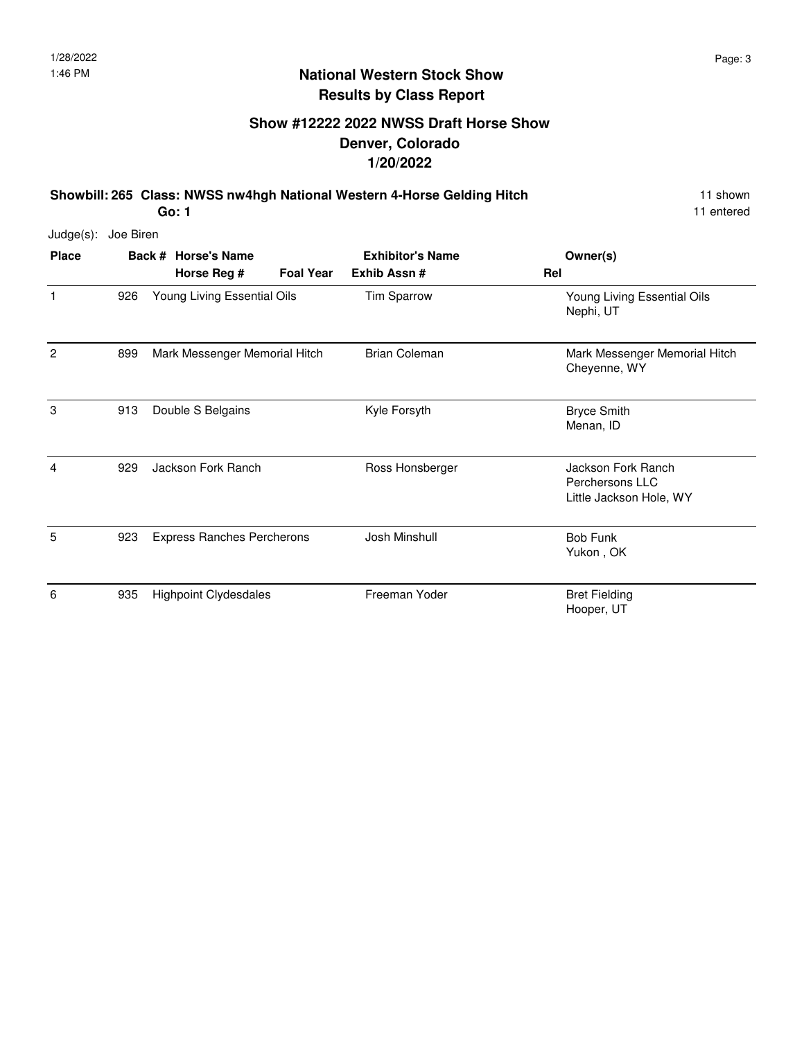#### **Show #12222 2022 NWSS Draft Horse Show Denver, Colorado 1/20/2022**

**Showbill: 265 Class: NWSS nw4hgh National Western 4-Horse Gelding Hitch** 11 shown **Go: 1**

| $Judge(s)$ :   | Joe Biren |                                   |                  |                         |                                                                  |
|----------------|-----------|-----------------------------------|------------------|-------------------------|------------------------------------------------------------------|
| <b>Place</b>   |           | Back # Horse's Name               |                  | <b>Exhibitor's Name</b> | Owner(s)                                                         |
|                |           | Horse Reg #                       | <b>Foal Year</b> | Exhib Assn#             | Rel                                                              |
| $\mathbf{1}$   | 926       | Young Living Essential Oils       |                  | Tim Sparrow             | Young Living Essential Oils<br>Nephi, UT                         |
| $\overline{2}$ | 899       | Mark Messenger Memorial Hitch     |                  | <b>Brian Coleman</b>    | Mark Messenger Memorial Hitch<br>Cheyenne, WY                    |
| 3              | 913       | Double S Belgains                 |                  | Kyle Forsyth            | <b>Bryce Smith</b><br>Menan, ID                                  |
| 4              | 929       | Jackson Fork Ranch                |                  | Ross Honsberger         | Jackson Fork Ranch<br>Perchersons LLC<br>Little Jackson Hole, WY |
| 5              | 923       | <b>Express Ranches Percherons</b> |                  | Josh Minshull           | <b>Bob Funk</b><br>Yukon, OK                                     |
| 6              | 935       | <b>Highpoint Clydesdales</b>      |                  | Freeman Yoder           | <b>Bret Fielding</b><br>Hooper, UT                               |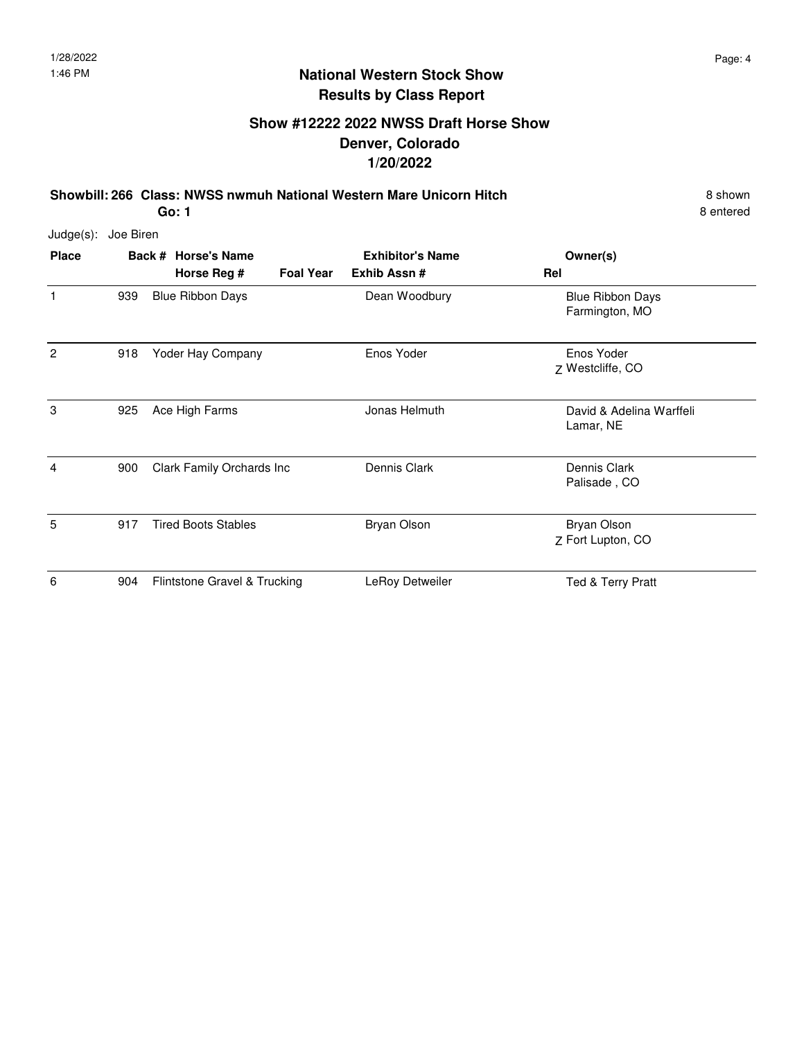#### **Show #12222 2022 NWSS Draft Horse Show Denver, Colorado 1/20/2022**

**Showbill: 266 Class: NWSS nwmuh National Western Mare Unicorn Hitch** 8 shown **Go: 1**

| $Judge(s)$ : | Joe Biren |                              |                  |                         |                                           |
|--------------|-----------|------------------------------|------------------|-------------------------|-------------------------------------------|
| <b>Place</b> |           | Back # Horse's Name          |                  | <b>Exhibitor's Name</b> | Owner(s)                                  |
|              |           | Horse Reg #                  | <b>Foal Year</b> | Exhib Assn #            | Rel                                       |
| $\mathbf{1}$ | 939       | <b>Blue Ribbon Days</b>      |                  | Dean Woodbury           | <b>Blue Ribbon Days</b><br>Farmington, MO |
| 2            | 918       | Yoder Hay Company            |                  | Enos Yoder              | Enos Yoder<br>Z Westcliffe, CO            |
| 3            | 925       | Ace High Farms               |                  | Jonas Helmuth           | David & Adelina Warffeli<br>Lamar, NE     |
| 4            | 900       | Clark Family Orchards Inc    |                  | Dennis Clark            | Dennis Clark<br>Palisade, CO              |
| 5            | 917       | <b>Tired Boots Stables</b>   |                  | <b>Bryan Olson</b>      | Bryan Olson<br>Z Fort Lupton, CO          |
| 6            | 904       | Flintstone Gravel & Trucking |                  | LeRoy Detweiler         | Ted & Terry Pratt                         |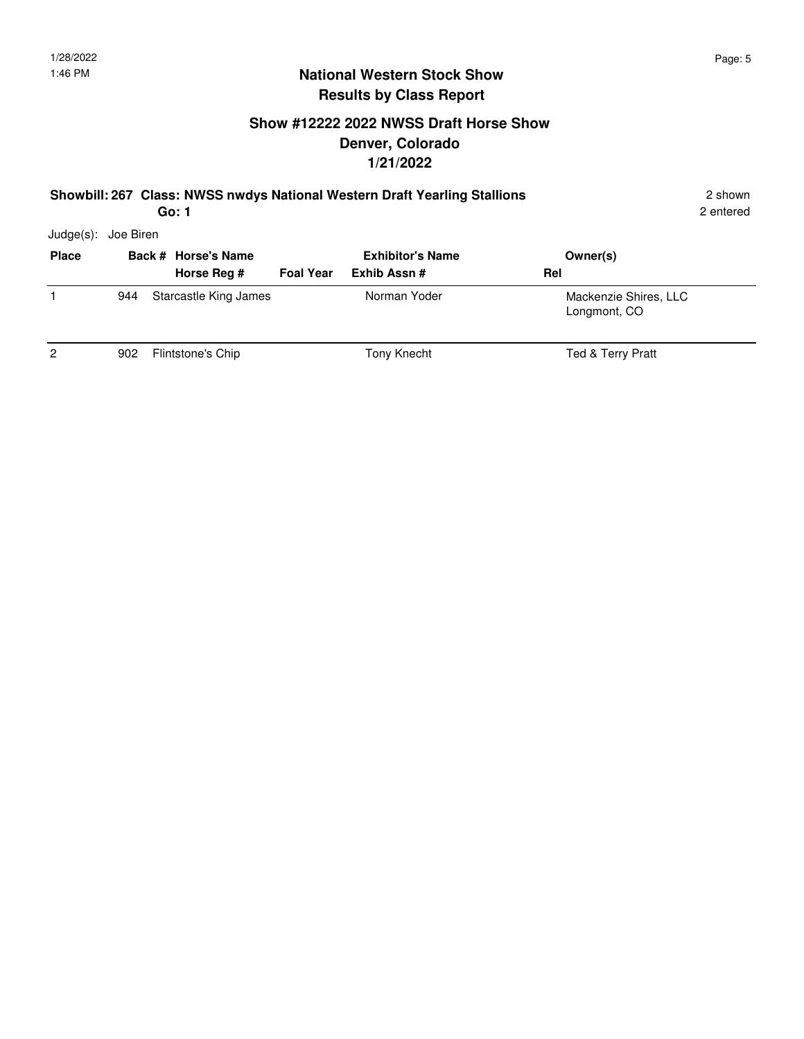## **Show #12222 2022 NWSS Draft Horse Show Denver, Colorado 1/21/2022**

#### **Showbill: 267 Class: NWSS nwdys National Western Draft Yearling Stallions** 2 shown **Go: 1**

2 entered

Judge(s): Joe Biren

| <b>Place</b>   |     | Back # Horse's Name   |                  | <b>Exhibitor's Name</b> | Owner(s)                              |
|----------------|-----|-----------------------|------------------|-------------------------|---------------------------------------|
|                |     | Horse Reg #           | <b>Foal Year</b> | Exhib Assn #            | Rel                                   |
|                | 944 | Starcastle King James |                  | Norman Yoder            | Mackenzie Shires, LLC<br>Longmont, CO |
| $\overline{2}$ | 902 | Flintstone's Chip     |                  | Tony Knecht             | Ted & Terry Pratt                     |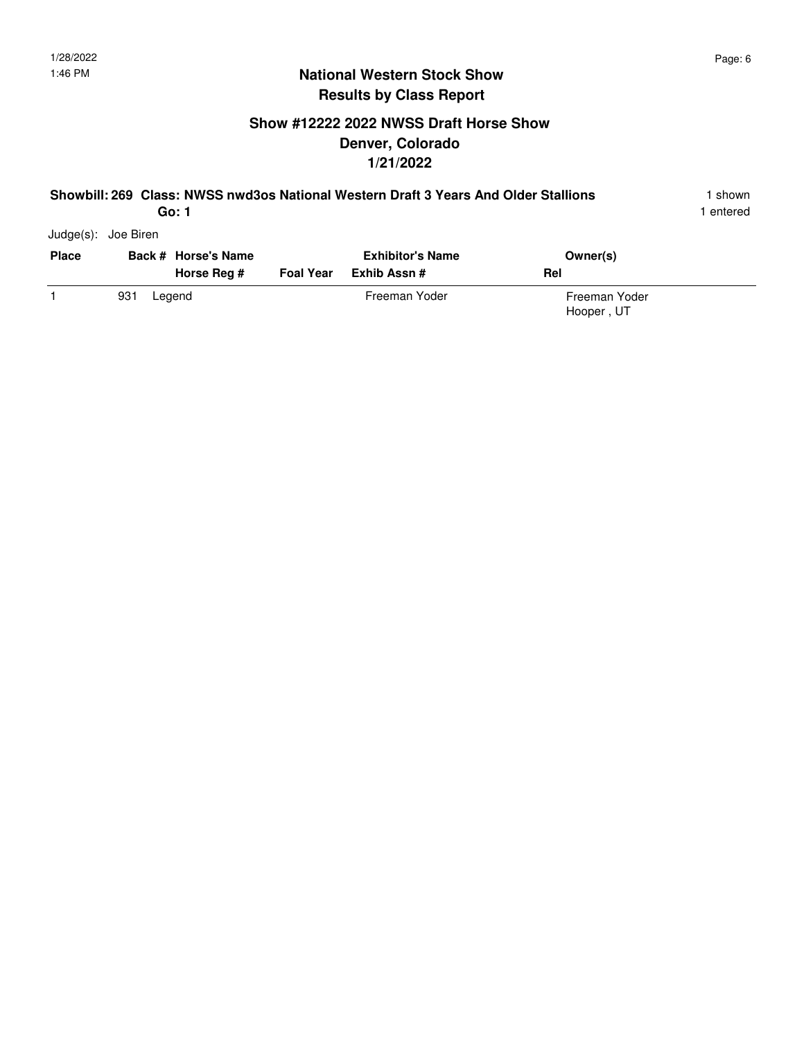## **Show #12222 2022 NWSS Draft Horse Show Denver, Colorado 1/21/2022**

#### **Showbill: 269 Class: NWSS nwd3os National Western Draft 3 Years And Older Stallions** 1 shown **Go: 1**

1 entered

Judge(s): Joe Biren

| <b>Place</b> | Back # Horse's Name<br>Horse Rea # | <b>Foal Year</b> | <b>Exhibitor's Name</b><br>Exhib Assn # | Owner(s)<br>Rel             |
|--------------|------------------------------------|------------------|-----------------------------------------|-----------------------------|
|              | 931<br>Legend                      |                  | Freeman Yoder                           | Freeman Yoder<br>Hooper, UT |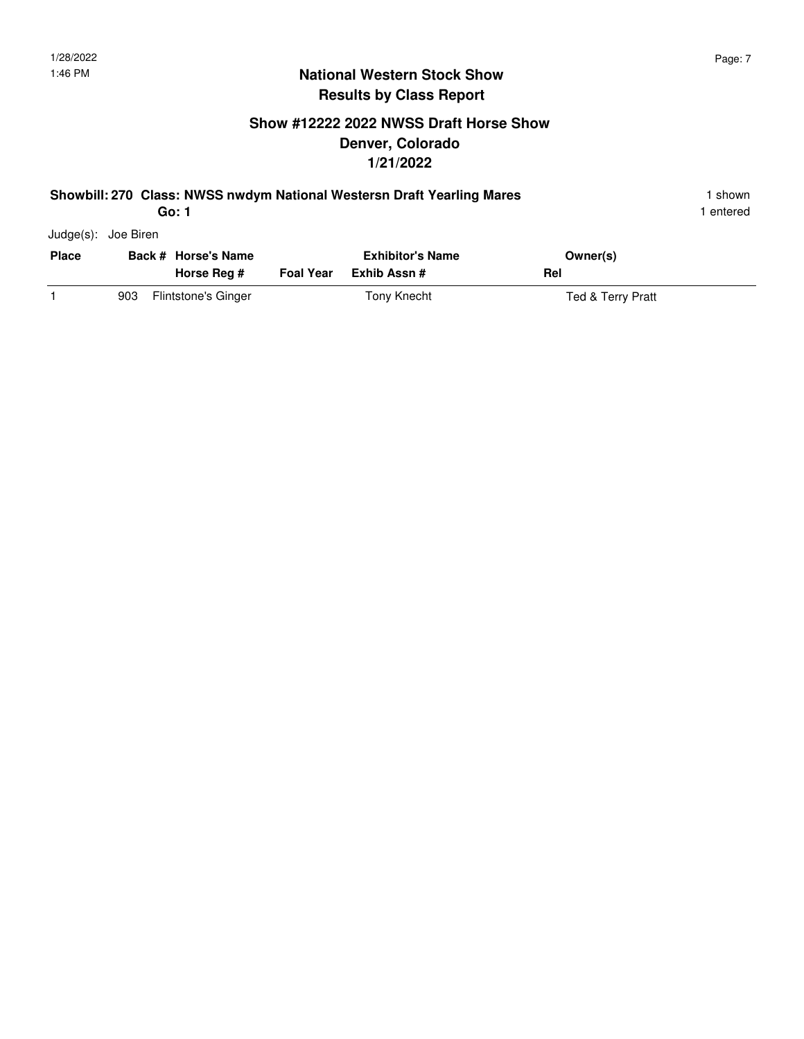## **Show #12222 2022 NWSS Draft Horse Show Denver, Colorado 1/21/2022**

#### **Showbill: 270 Class: NWSS nwdym National Westersn Draft Yearling Mares** 1 Shown 1 shown **Go: 1**

| <b>Place</b> |     | Back # Horse's Name<br>Horse Reg # | <b>Exhibitor's Name</b><br>Foal Year Exhib Assn # | Owner(s)<br>Rel   |
|--------------|-----|------------------------------------|---------------------------------------------------|-------------------|
|              | 903 | Flintstone's Ginger                | Tony Knecht                                       | Ted & Terry Pratt |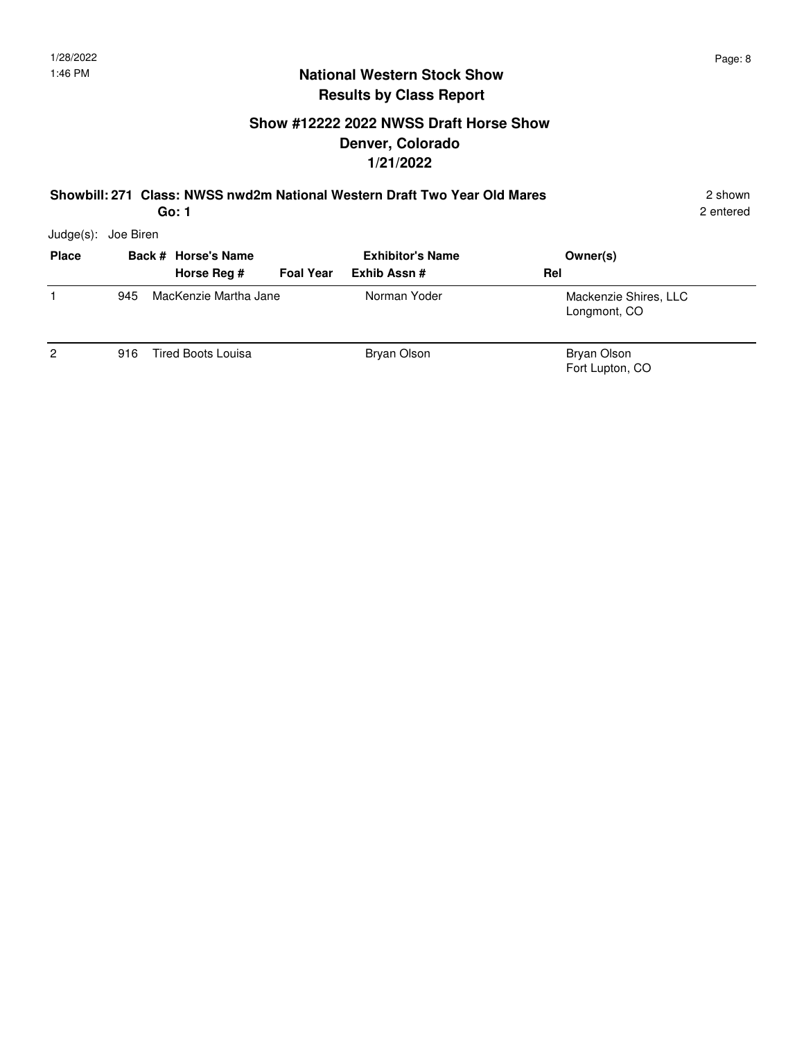## **Show #12222 2022 NWSS Draft Horse Show Denver, Colorado 1/21/2022**

#### **Showbill: 271 Class: NWSS nwd2m National Western Draft Two Year Old Mares** 2 shown **Go: 1**

2 entered

Judge(s): Joe Biren

| <b>Place</b>   |     | Back # Horse's Name<br>Horse Reg #<br><b>Foal Year</b> | <b>Exhibitor's Name</b><br>Exhib Assn # | Owner(s)<br>Rel                       |
|----------------|-----|--------------------------------------------------------|-----------------------------------------|---------------------------------------|
|                | 945 | MacKenzie Martha Jane                                  | Norman Yoder                            | Mackenzie Shires, LLC<br>Longmont, CO |
| $\overline{2}$ | 916 | <b>Tired Boots Louisa</b>                              | Bryan Olson                             | Bryan Olson<br>Fort Lupton, CO        |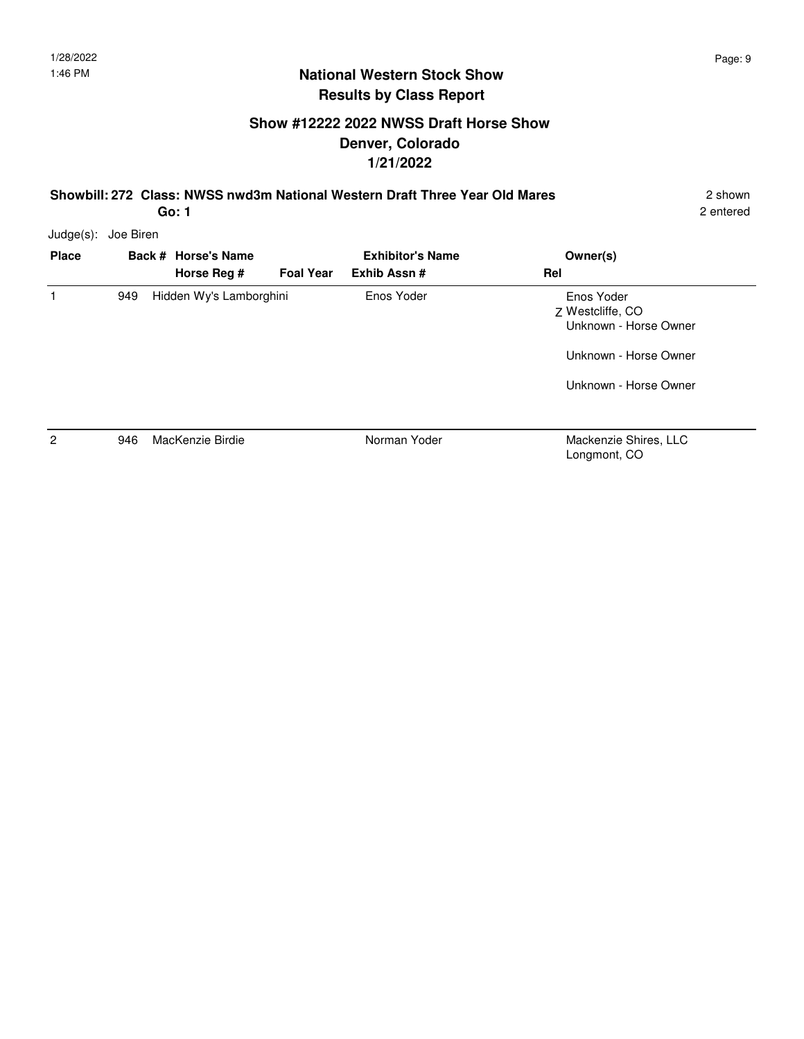#### **Show #12222 2022 NWSS Draft Horse Show Denver, Colorado 1/21/2022**

**Showbill: 272 Class: NWSS nwd3m National Western Draft Three Year Old Mares** 2 shown

2 entered

Judge(s): Joe Biren

| <b>Place</b> |     | Back # Horse's Name<br>Horse Reg # | <b>Foal Year</b> | <b>Exhibitor's Name</b><br>Exhib Assn# | Owner(s)<br>Rel                                                                                           |
|--------------|-----|------------------------------------|------------------|----------------------------------------|-----------------------------------------------------------------------------------------------------------|
|              | 949 | Hidden Wy's Lamborghini            |                  | Enos Yoder                             | Enos Yoder<br>7 Westcliffe, CO<br>Unknown - Horse Owner<br>Unknown - Horse Owner<br>Unknown - Horse Owner |
| 2            | 946 | MacKenzie Birdie                   |                  | Norman Yoder                           | Mackenzie Shires, LLC                                                                                     |

**Go: 1**

Longmont, CO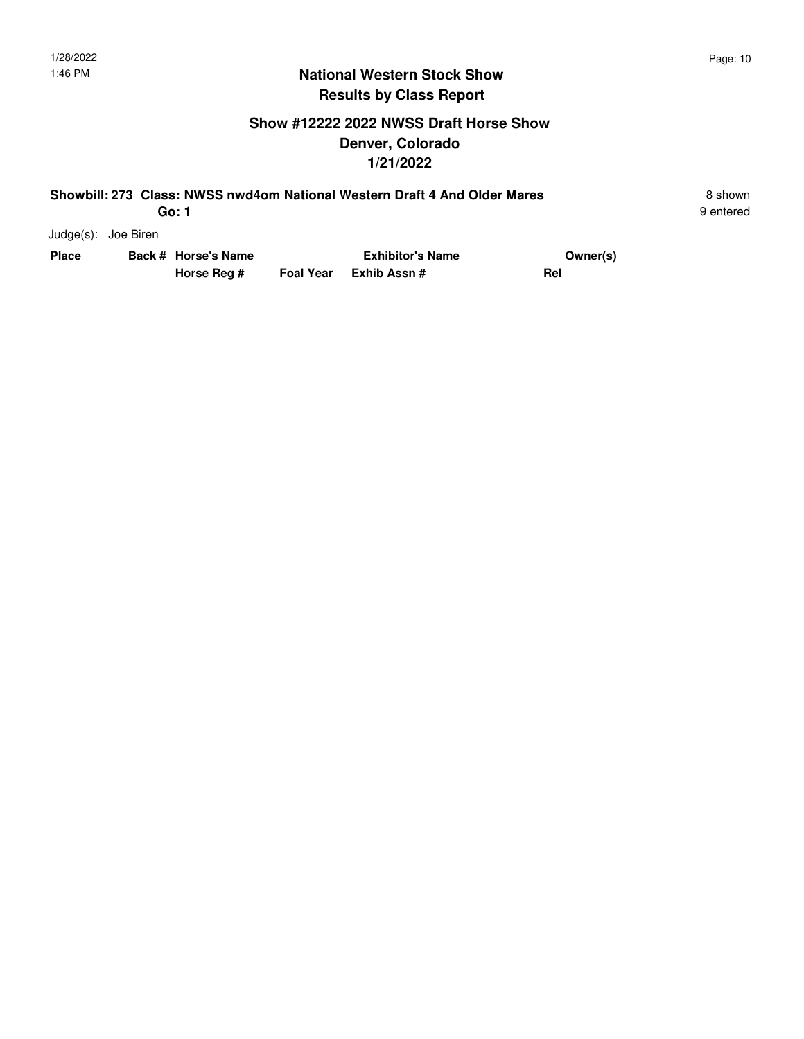### **Show #12222 2022 NWSS Draft Horse Show Denver, Colorado 1/21/2022**

#### **Showbill: 273 Class: NWSS nwd4om National Western Draft 4 And Older Mares** 8 Shown 8 shown **Go: 1**

9 entered

Judge(s): Joe Biren

| Place | Back # Horse's Name | <b>Exhibitor's Name</b> | Owner(s) |  |
|-------|---------------------|-------------------------|----------|--|
|       | Horse Reg #         | Foal Year Exhib Assn #  | Rel      |  |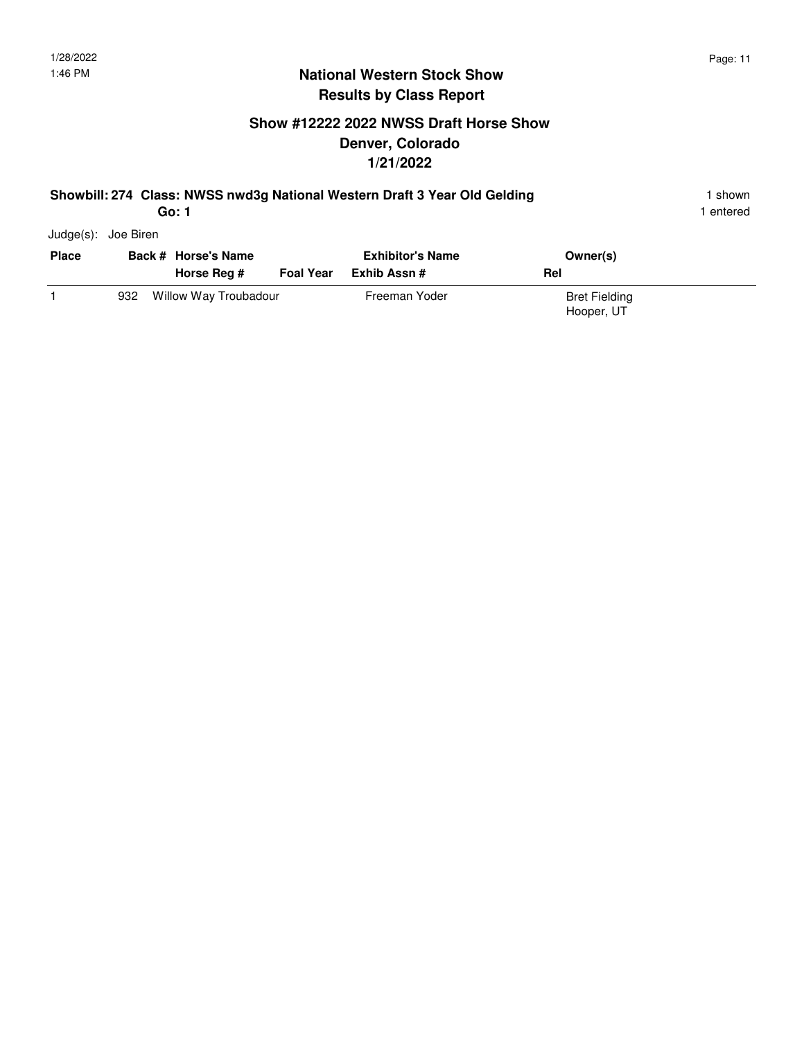## **Show #12222 2022 NWSS Draft Horse Show Denver, Colorado 1/21/2022**

#### **Showbill: 274 Class: NWSS nwd3g National Western Draft 3 Year Old Gelding** 1 shown 1 shown

1 entered

Judge(s): Joe Biren

| <b>Place</b> | Back # Horse's Name |                       | <b>Exhibitor's Name</b> |               | Owner(s)                           |  |
|--------------|---------------------|-----------------------|-------------------------|---------------|------------------------------------|--|
|              |                     | Horse Reg #           | <b>Foal Year</b>        | Exhib Assn #  | Rel                                |  |
|              | 932                 | Willow Way Troubadour |                         | Freeman Yoder | <b>Bret Fielding</b><br>Hooper, UT |  |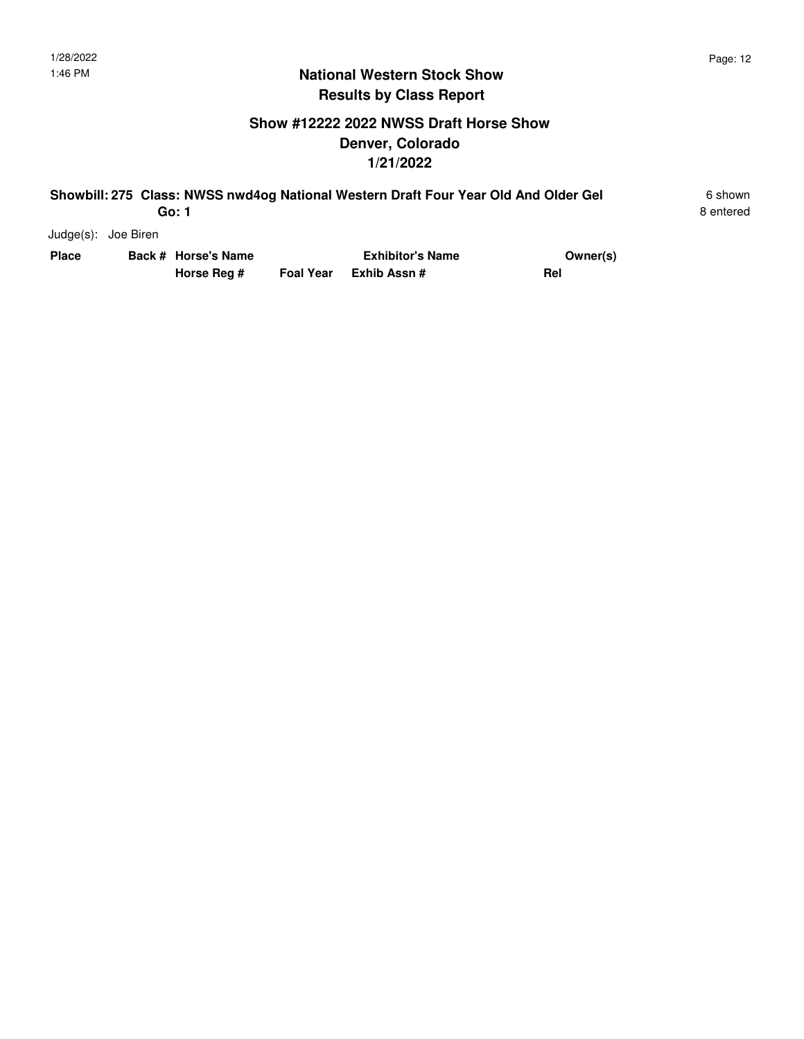#### **Show #12222 2022 NWSS Draft Horse Show Denver, Colorado 1/21/2022**

#### **Showbill: 275 Class: NWSS nwd4og National Western Draft Four Year Old And Older Gel** 6 shown **Go: 1**

8 entered

Judge(s): Joe Biren

| Place | Back # Horse's Name |             | <b>Exhibitor's Name</b> | Owner(s) |
|-------|---------------------|-------------|-------------------------|----------|
|       |                     | Horse Reg # | Foal Year Exhib Assn #  | Rel      |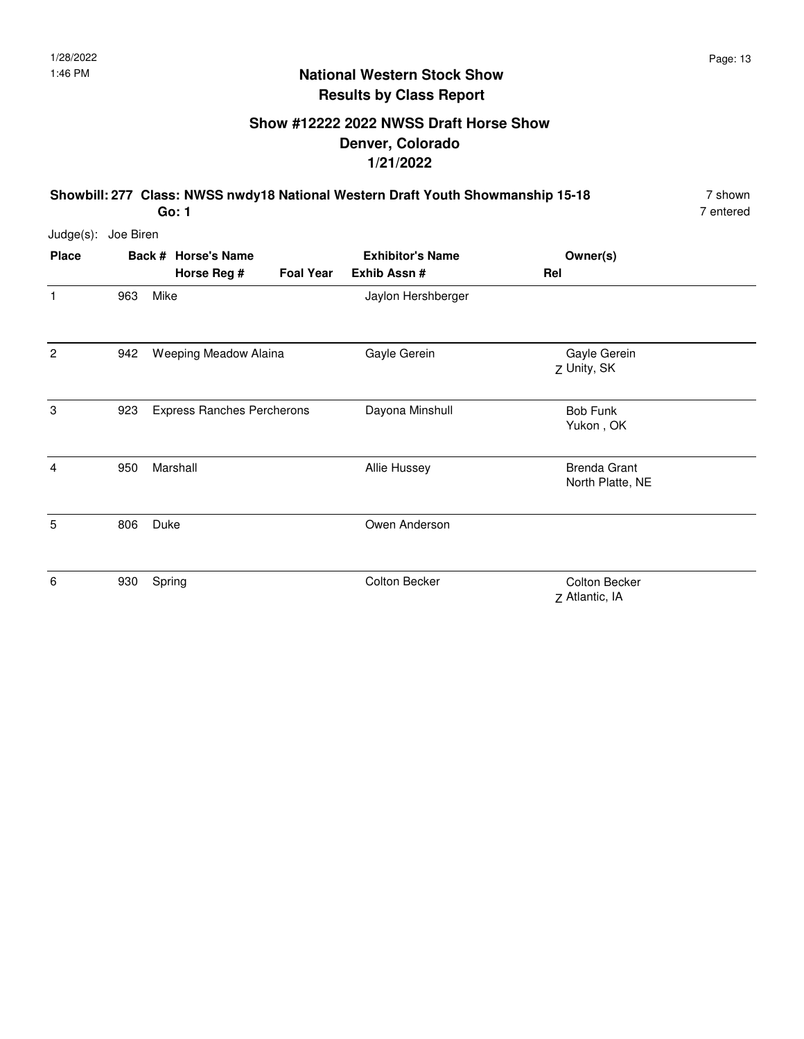## **Show #12222 2022 NWSS Draft Horse Show Denver, Colorado 1/21/2022**

**Showbill: 277 Class: NWSS nwdy18 National Western Draft Youth Showmanship 15-18** 7 shown **Go: 1**

| Judge(s):      | Joe Biren |      |                                   |                  |                         |                                         |  |
|----------------|-----------|------|-----------------------------------|------------------|-------------------------|-----------------------------------------|--|
| <b>Place</b>   |           |      | Back # Horse's Name               |                  | <b>Exhibitor's Name</b> | Owner(s)                                |  |
|                |           |      | Horse Reg #                       | <b>Foal Year</b> | Exhib Assn #            | Rel                                     |  |
| $\mathbf{1}$   | 963       | Mike |                                   |                  | Jaylon Hershberger      |                                         |  |
| $\overline{2}$ | 942       |      | Weeping Meadow Alaina             |                  | Gayle Gerein            | Gayle Gerein<br>Z Unity, SK             |  |
| 3              | 923       |      | <b>Express Ranches Percherons</b> |                  | Dayona Minshull         | <b>Bob Funk</b><br>Yukon, OK            |  |
| 4              | 950       |      | Marshall                          |                  | Allie Hussey            | <b>Brenda Grant</b><br>North Platte, NE |  |
| 5              | 806       | Duke |                                   |                  | Owen Anderson           |                                         |  |
| 6              | 930       |      | Spring                            |                  | <b>Colton Becker</b>    | Colton Becker<br>Z Atlantic, IA         |  |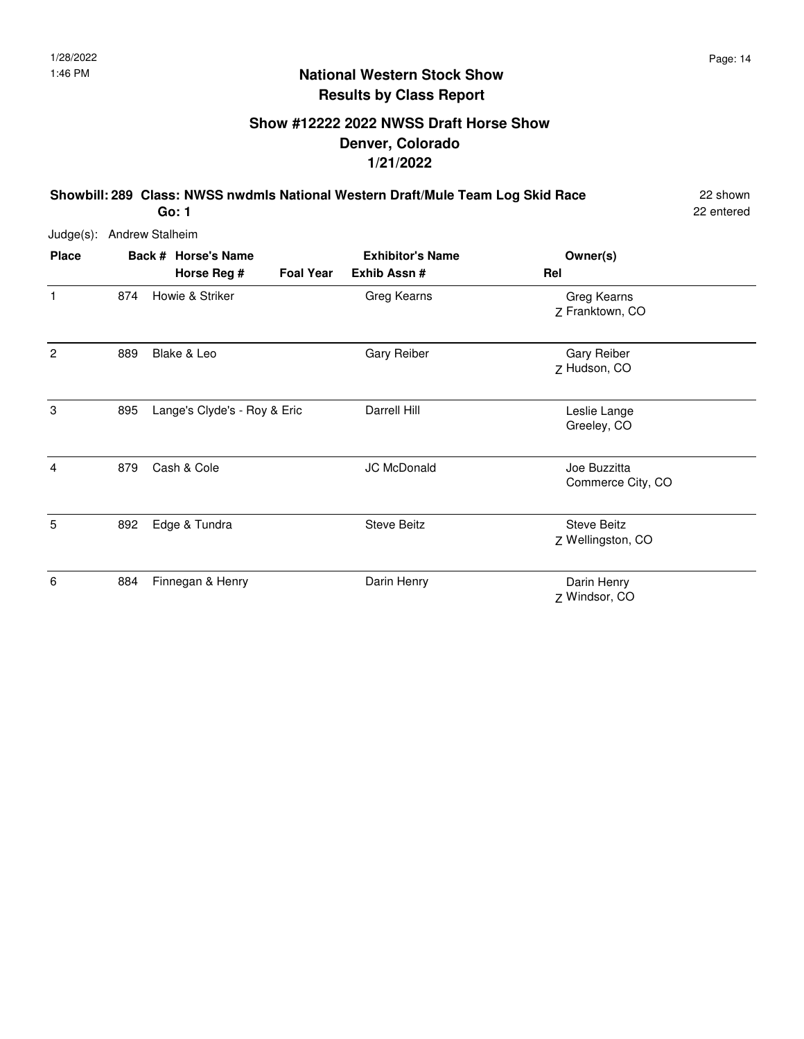## **Show #12222 2022 NWSS Draft Horse Show Denver, Colorado 1/21/2022**

**Showbill: 289 Class: NWSS nwdmls National Western Draft/Mule Team Log Skid Race** 22 shown

22 entered

Judge(s): Andrew Stalheim

| <b>Place</b>   |     | Back # Horse's Name          |                  | <b>Exhibitor's Name</b> | Owner(s)                                |
|----------------|-----|------------------------------|------------------|-------------------------|-----------------------------------------|
|                |     | Horse Reg #                  | <b>Foal Year</b> | Exhib Assn #            | Rel                                     |
| $\mathbf{1}$   | 874 | Howie & Striker              |                  | Greg Kearns             | Greg Kearns<br>Z Franktown, CO          |
| $\overline{2}$ | 889 | Blake & Leo                  |                  | Gary Reiber             | Gary Reiber<br>Z Hudson, CO             |
| 3              | 895 | Lange's Clyde's - Roy & Eric |                  | Darrell Hill            | Leslie Lange<br>Greeley, CO             |
| $\overline{4}$ | 879 | Cash & Cole                  |                  | <b>JC McDonald</b>      | Joe Buzzitta<br>Commerce City, CO       |
| 5              | 892 | Edge & Tundra                |                  | <b>Steve Beitz</b>      | <b>Steve Beitz</b><br>Z Wellingston, CO |
| 6              | 884 | Finnegan & Henry             |                  | Darin Henry             | Darin Henry<br>Z Windsor, CO            |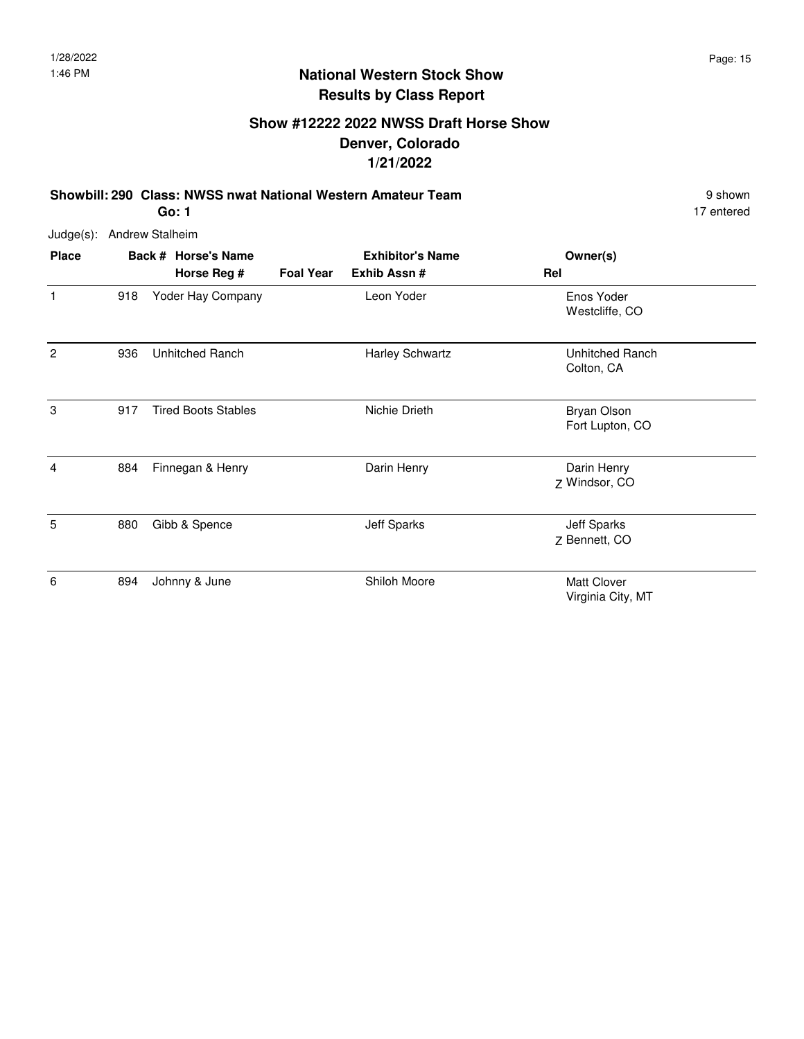## **Show #12222 2022 NWSS Draft Horse Show Denver, Colorado 1/21/2022**

**Showbill: 290 Class: NWSS nwat National Western Amateur Team** 9 Shown 9 shown

17 entered

Judge(s): Andrew Stalheim

| <b>Place</b>   |     | Back # Horse's Name        |                  | <b>Exhibitor's Name</b> | Owner(s)                                |
|----------------|-----|----------------------------|------------------|-------------------------|-----------------------------------------|
|                |     | Horse Reg #                | <b>Foal Year</b> | Exhib Assn #            | Rel                                     |
| 1              | 918 | Yoder Hay Company          |                  | Leon Yoder              | Enos Yoder<br>Westcliffe, CO            |
| $\overline{c}$ | 936 | <b>Unhitched Ranch</b>     |                  | <b>Harley Schwartz</b>  | Unhitched Ranch<br>Colton, CA           |
| 3              | 917 | <b>Tired Boots Stables</b> |                  | Nichie Drieth           | <b>Bryan Olson</b><br>Fort Lupton, CO   |
| 4              | 884 | Finnegan & Henry           |                  | Darin Henry             | Darin Henry<br>Z Windsor, CO            |
| 5              | 880 | Gibb & Spence              |                  | <b>Jeff Sparks</b>      | <b>Jeff Sparks</b><br>Z Bennett, CO     |
| 6              | 894 | Johnny & June              |                  | Shiloh Moore            | <b>Matt Clover</b><br>Virginia City, MT |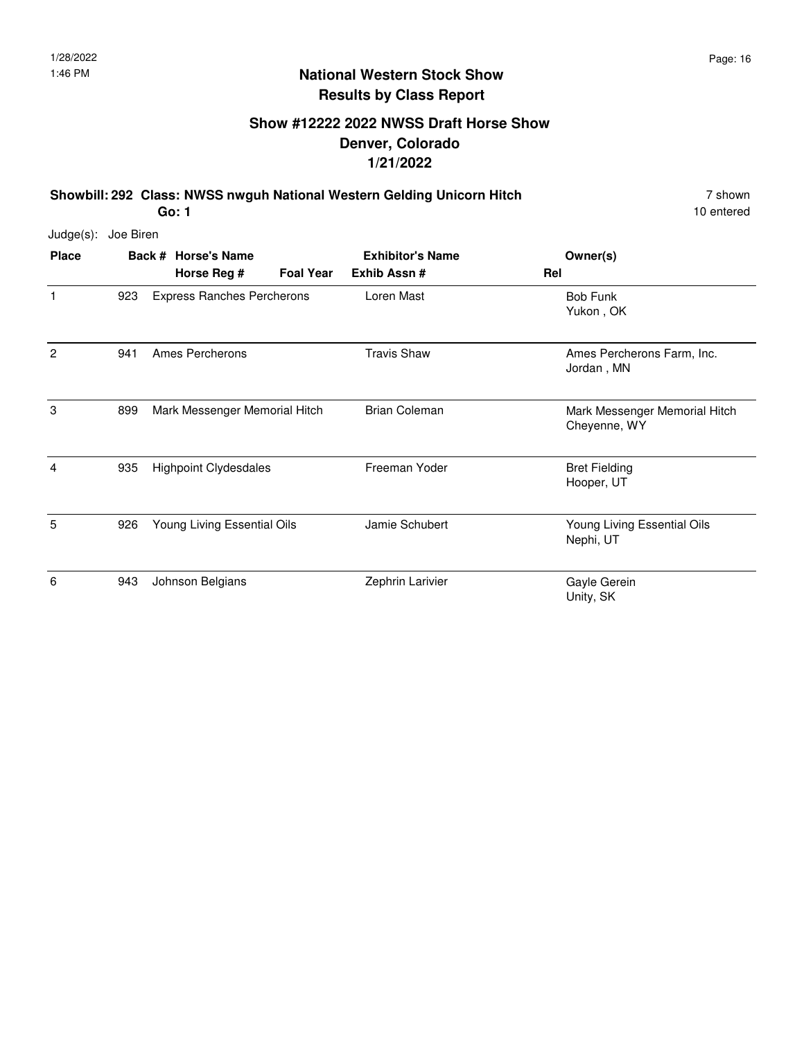## **Show #12222 2022 NWSS Draft Horse Show Denver, Colorado 1/21/2022**

**Showbill: 292 Class: NWSS nwguh National Western Gelding Unicorn Hitch** 7 shown 7 shown **Go: 1**

| Judge(s):    | Joe Biren |                                    |                  |                                        |                                               |
|--------------|-----------|------------------------------------|------------------|----------------------------------------|-----------------------------------------------|
| <b>Place</b> |           | Back # Horse's Name<br>Horse Reg # | <b>Foal Year</b> | <b>Exhibitor's Name</b><br>Exhib Assn# | Owner(s)<br>Rel                               |
| 1            | 923       | <b>Express Ranches Percherons</b>  |                  | Loren Mast                             | <b>Bob Funk</b><br>Yukon, OK                  |
| 2            | 941       | Ames Percherons                    |                  | <b>Travis Shaw</b>                     | Ames Percherons Farm, Inc.<br>Jordan, MN      |
| 3            | 899       | Mark Messenger Memorial Hitch      |                  | <b>Brian Coleman</b>                   | Mark Messenger Memorial Hitch<br>Cheyenne, WY |
| 4            | 935       | <b>Highpoint Clydesdales</b>       |                  | Freeman Yoder                          | <b>Bret Fielding</b><br>Hooper, UT            |
| 5            | 926       | Young Living Essential Oils        |                  | Jamie Schubert                         | Young Living Essential Oils<br>Nephi, UT      |
| 6            | 943       | Johnson Belgians                   |                  | Zephrin Larivier                       | Gayle Gerein<br>Unity, SK                     |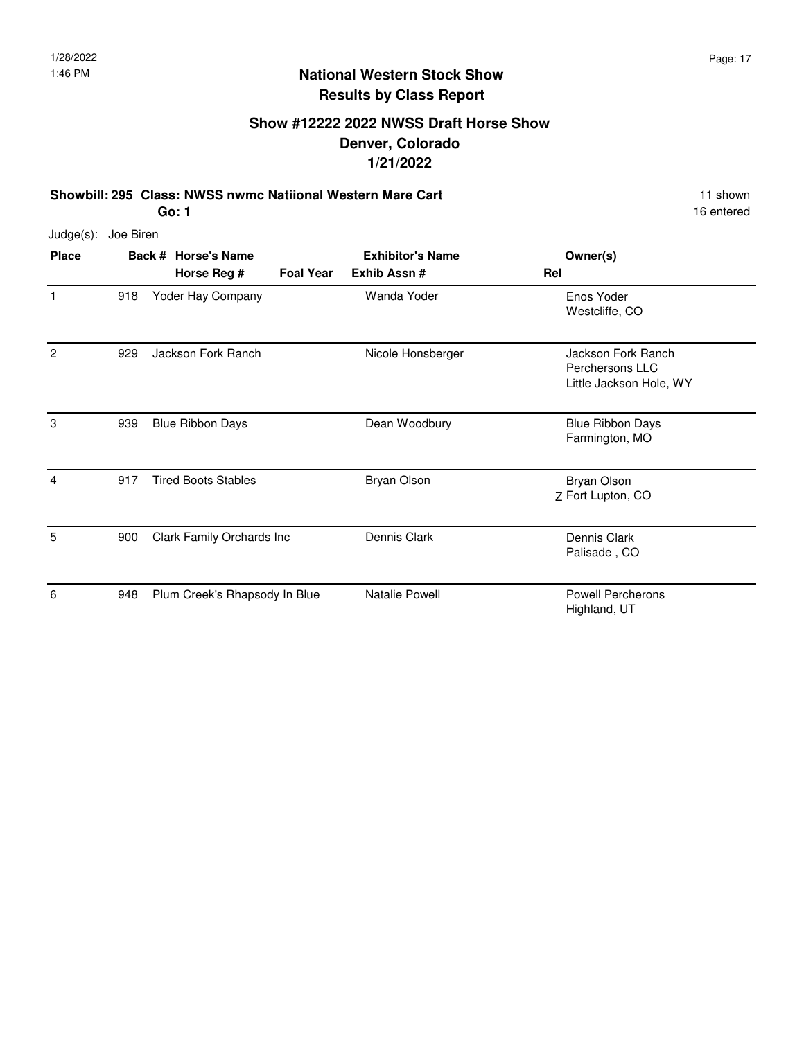## **Show #12222 2022 NWSS Draft Horse Show Denver, Colorado 1/21/2022**

**Showbill: 295 Class: NWSS nwmc Natiional Western Mare Cart** 11 Shown 11 shown **Go: 1**

16 entered

Judge(s): Joe Biren

| <b>Place</b> |     | Back # Horse's Name             | <b>Exhibitor's Name</b> | Owner(s)                                                         |
|--------------|-----|---------------------------------|-------------------------|------------------------------------------------------------------|
|              |     | Horse Reg #<br><b>Foal Year</b> | Exhib Assn#             | Rel                                                              |
| $\mathbf{1}$ | 918 | Yoder Hay Company               | Wanda Yoder             | Enos Yoder<br>Westcliffe, CO                                     |
| 2            | 929 | Jackson Fork Ranch              | Nicole Honsberger       | Jackson Fork Ranch<br>Perchersons LLC<br>Little Jackson Hole, WY |
| 3            | 939 | <b>Blue Ribbon Days</b>         | Dean Woodbury           | <b>Blue Ribbon Days</b><br>Farmington, MO                        |
| 4            | 917 | <b>Tired Boots Stables</b>      | <b>Bryan Olson</b>      | <b>Bryan Olson</b><br>Z Fort Lupton, CO                          |
| 5            | 900 | Clark Family Orchards Inc       | Dennis Clark            | Dennis Clark<br>Palisade, CO                                     |
| 6            | 948 | Plum Creek's Rhapsody In Blue   | Natalie Powell          | <b>Powell Percherons</b><br>Highland, UT                         |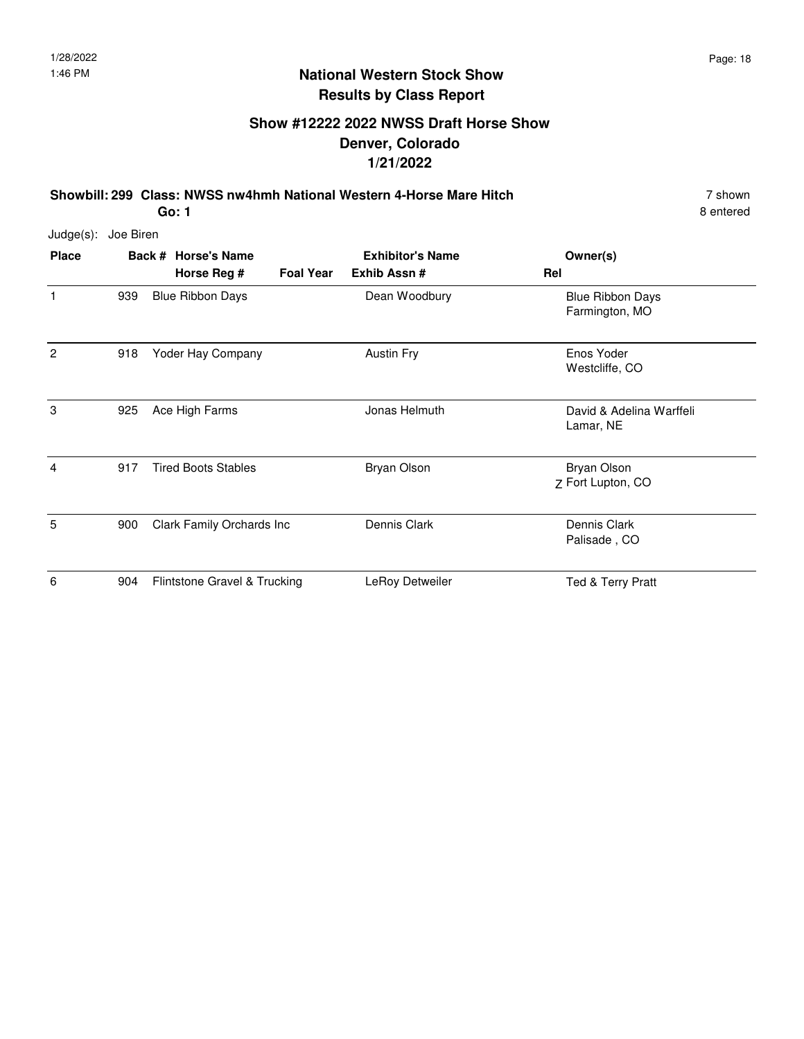## **Show #12222 2022 NWSS Draft Horse Show Denver, Colorado 1/21/2022**

**Showbill: 299 Class: NWSS nw4hmh National Western 4-Horse Mare Hitch** 7 shown **Go: 1**

| $Judge(s)$ :   | Joe Biren |                              |                  |                         |                                           |
|----------------|-----------|------------------------------|------------------|-------------------------|-------------------------------------------|
| <b>Place</b>   |           | Back # Horse's Name          |                  | <b>Exhibitor's Name</b> | Owner(s)                                  |
|                |           | Horse Reg #                  | <b>Foal Year</b> | Exhib Assn #            | Rel                                       |
| 1              | 939       | <b>Blue Ribbon Days</b>      |                  | Dean Woodbury           | <b>Blue Ribbon Days</b><br>Farmington, MO |
| $\overline{2}$ | 918       | Yoder Hay Company            |                  | <b>Austin Fry</b>       | Enos Yoder<br>Westcliffe, CO              |
| 3              | 925       | Ace High Farms               |                  | Jonas Helmuth           | David & Adelina Warffeli<br>Lamar, NE     |
| 4              | 917       | <b>Tired Boots Stables</b>   |                  | <b>Bryan Olson</b>      | Bryan Olson<br>Z Fort Lupton, CO          |
| 5              | 900       | Clark Family Orchards Inc    |                  | Dennis Clark            | Dennis Clark<br>Palisade, CO              |
| 6              | 904       | Flintstone Gravel & Trucking |                  | LeRoy Detweiler         | Ted & Terry Pratt                         |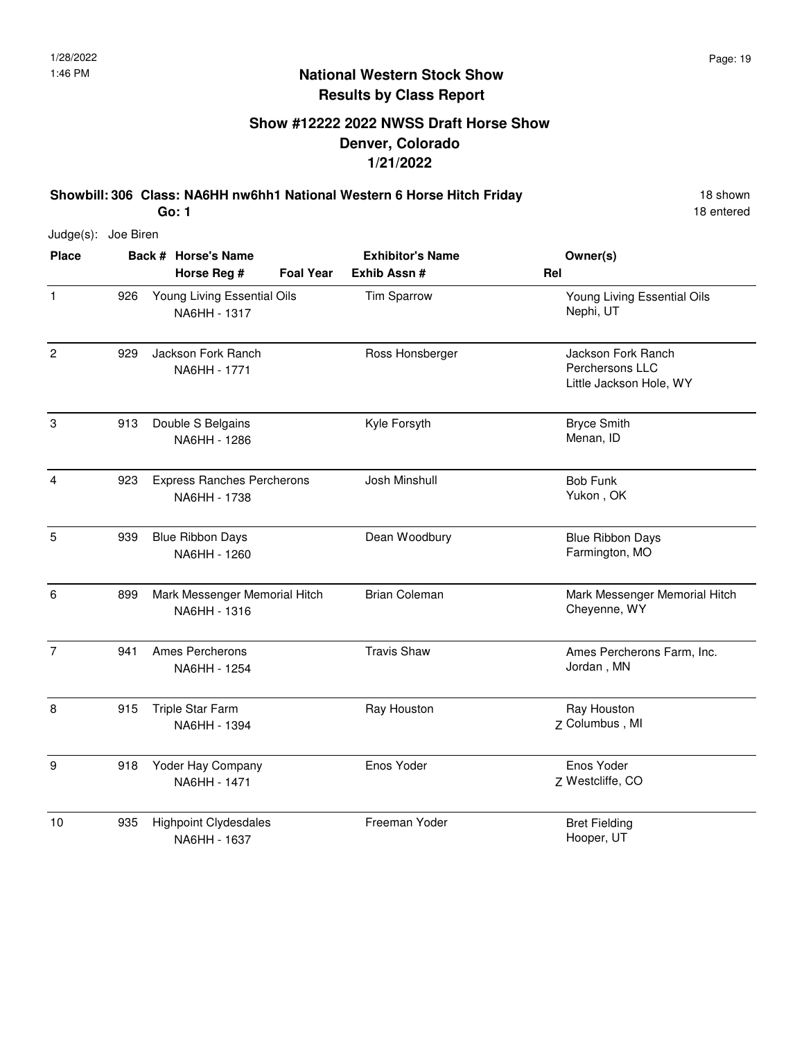## **Show #12222 2022 NWSS Draft Horse Show Denver, Colorado 1/21/2022**

**Showbill: 306 Class: NA6HH nw6hh1 National Western 6 Horse Hitch Friday** 18 Shown **Go: 1**

18 entered

Judge(s): Joe Biren

| <b>Place</b>   |     | Back # Horse's Name                               | <b>Exhibitor's Name</b> | Owner(s)                                                         |
|----------------|-----|---------------------------------------------------|-------------------------|------------------------------------------------------------------|
|                |     | <b>Foal Year</b><br>Horse Reg #                   | Exhib Assn #            | Rel                                                              |
| $\mathbf{1}$   | 926 | Young Living Essential Oils<br>NA6HH - 1317       | Tim Sparrow             | Young Living Essential Oils<br>Nephi, UT                         |
| $\overline{2}$ | 929 | Jackson Fork Ranch<br>NA6HH - 1771                | Ross Honsberger         | Jackson Fork Ranch<br>Perchersons LLC<br>Little Jackson Hole, WY |
| $\,3$          | 913 | Double S Belgains<br>NA6HH - 1286                 | Kyle Forsyth            | <b>Bryce Smith</b><br>Menan, ID                                  |
| $\overline{4}$ | 923 | <b>Express Ranches Percherons</b><br>NA6HH - 1738 | Josh Minshull           | <b>Bob Funk</b><br>Yukon, OK                                     |
| $\overline{5}$ | 939 | <b>Blue Ribbon Days</b><br>NA6HH - 1260           | Dean Woodbury           | <b>Blue Ribbon Days</b><br>Farmington, MO                        |
| 6              | 899 | Mark Messenger Memorial Hitch<br>NA6HH - 1316     | <b>Brian Coleman</b>    | Mark Messenger Memorial Hitch<br>Cheyenne, WY                    |
| $\overline{7}$ | 941 | Ames Percherons<br>NA6HH - 1254                   | <b>Travis Shaw</b>      | Ames Percherons Farm, Inc.<br>Jordan, MN                         |
| 8              | 915 | Triple Star Farm<br>NA6HH - 1394                  | Ray Houston             | Ray Houston<br>Z Columbus, MI                                    |
| 9              | 918 | Yoder Hay Company<br>NA6HH - 1471                 | Enos Yoder              | Enos Yoder<br>Z Westcliffe, CO                                   |
| 10             | 935 | <b>Highpoint Clydesdales</b><br>NA6HH - 1637      | Freeman Yoder           | <b>Bret Fielding</b><br>Hooper, UT                               |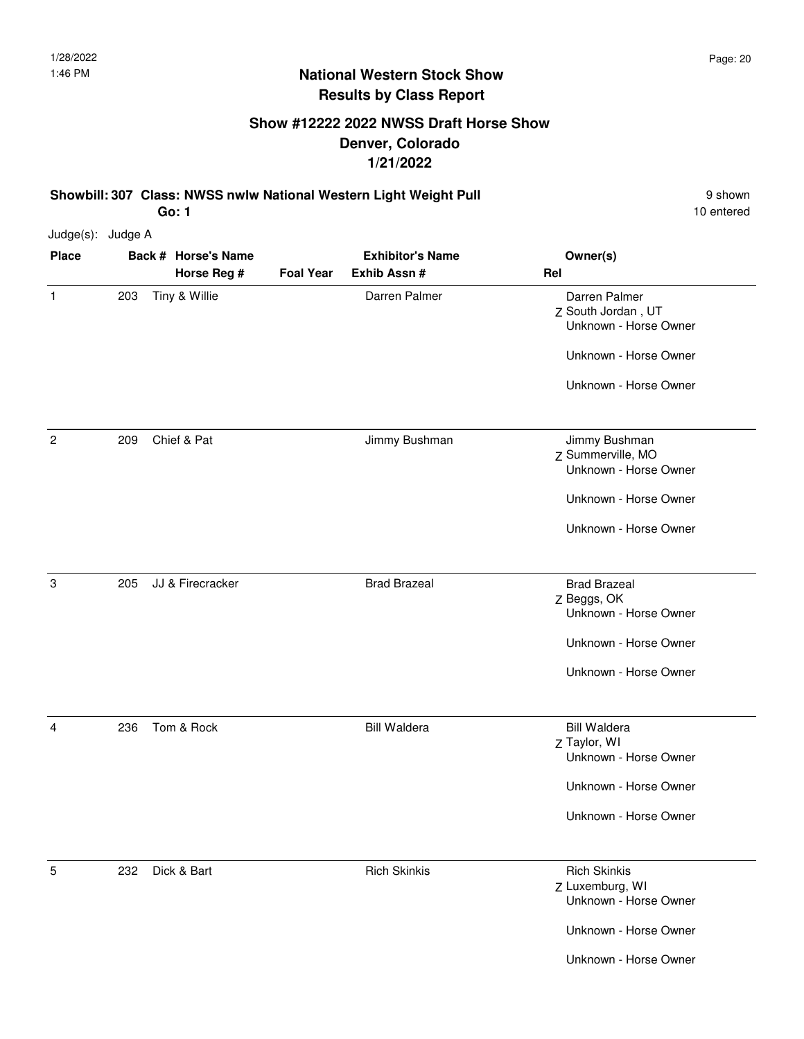## **Show #12222 2022 NWSS Draft Horse Show Denver, Colorado 1/21/2022**

**Showbill: 307 Class: NWSS nwlw National Western Light Weight Pull Pull** 9 shown **Go: 1**

10 entered

Unknown - Horse Owner

Unknown - Horse Owner

| Judge(s): Judge A |     |                     |                         |                     |                                                              |
|-------------------|-----|---------------------|-------------------------|---------------------|--------------------------------------------------------------|
| <b>Place</b>      |     | Back # Horse's Name | <b>Exhibitor's Name</b> |                     | Owner(s)                                                     |
|                   |     | Horse Reg #         | <b>Foal Year</b>        | Exhib Assn #        | Rel                                                          |
| $\mathbf{1}$      | 203 | Tiny & Willie       |                         | Darren Palmer       | Darren Palmer<br>Z South Jordan, UT<br>Unknown - Horse Owner |
|                   |     |                     |                         |                     | Unknown - Horse Owner                                        |
|                   |     |                     |                         |                     | Unknown - Horse Owner                                        |
| 2                 | 209 | Chief & Pat         |                         | Jimmy Bushman       | Jimmy Bushman                                                |
|                   |     |                     |                         |                     | Z Summerville, MO                                            |
|                   |     |                     |                         |                     | Unknown - Horse Owner                                        |
|                   |     |                     |                         |                     | Unknown - Horse Owner                                        |
|                   |     |                     |                         |                     | Unknown - Horse Owner                                        |
| 3                 | 205 | JJ & Firecracker    |                         | <b>Brad Brazeal</b> | <b>Brad Brazeal</b>                                          |
|                   |     |                     |                         |                     | Z Beggs, OK                                                  |
|                   |     |                     |                         |                     | Unknown - Horse Owner                                        |
|                   |     |                     |                         |                     | Unknown - Horse Owner                                        |
|                   |     |                     |                         |                     | Unknown - Horse Owner                                        |
| 4                 | 236 | Tom & Rock          |                         | <b>Bill Waldera</b> | <b>Bill Waldera</b>                                          |
|                   |     |                     |                         |                     | Z Taylor, WI                                                 |
|                   |     |                     |                         |                     | Unknown - Horse Owner                                        |
|                   |     |                     |                         |                     | Unknown - Horse Owner                                        |
|                   |     |                     |                         |                     | Unknown - Horse Owner                                        |
| 5                 | 232 | Dick & Bart         |                         | <b>Rich Skinkis</b> | <b>Rich Skinkis</b>                                          |
|                   |     |                     |                         |                     | Z Luxemburg, WI<br>Unknown - Horse Owner                     |
|                   |     |                     |                         |                     |                                                              |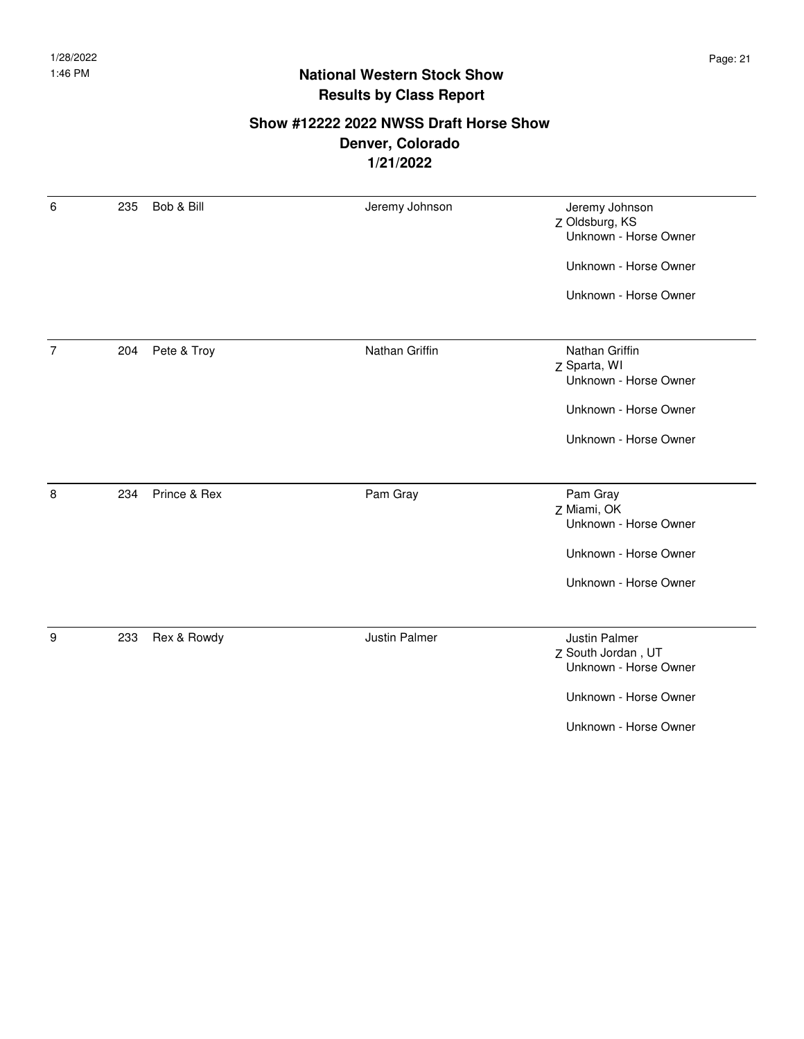#### **Show #12222 2022 NWSS Draft Horse Show Denver, Colorado 1/21/2022**

| 6              | 235 | Bob & Bill   | Jeremy Johnson | Jeremy Johnson<br>Z Oldsburg, KS<br>Unknown - Horse Owner |
|----------------|-----|--------------|----------------|-----------------------------------------------------------|
|                |     |              |                | Unknown - Horse Owner                                     |
|                |     |              |                | Unknown - Horse Owner                                     |
|                |     |              |                |                                                           |
| $\overline{7}$ | 204 | Pete & Troy  | Nathan Griffin | Nathan Griffin<br>Z Sparta, WI                            |
|                |     |              |                | Unknown - Horse Owner                                     |
|                |     |              |                | Unknown - Horse Owner                                     |
|                |     |              |                | Unknown - Horse Owner                                     |
|                |     |              |                |                                                           |
| 8              | 234 | Prince & Rex | Pam Gray       | Pam Gray                                                  |
|                |     |              |                | Z Miami, OK                                               |
|                |     |              |                | Unknown - Horse Owner                                     |
|                |     |              |                | Unknown - Horse Owner                                     |
|                |     |              |                | Unknown - Horse Owner                                     |
|                |     |              |                |                                                           |
| 9              | 233 | Rex & Rowdy  | Justin Palmer  | Justin Palmer                                             |
|                |     |              |                | Z South Jordan, UT                                        |
|                |     |              |                | Unknown - Horse Owner                                     |
|                |     |              |                | Unknown - Horse Owner                                     |
|                |     |              |                | Unknown - Horse Owner                                     |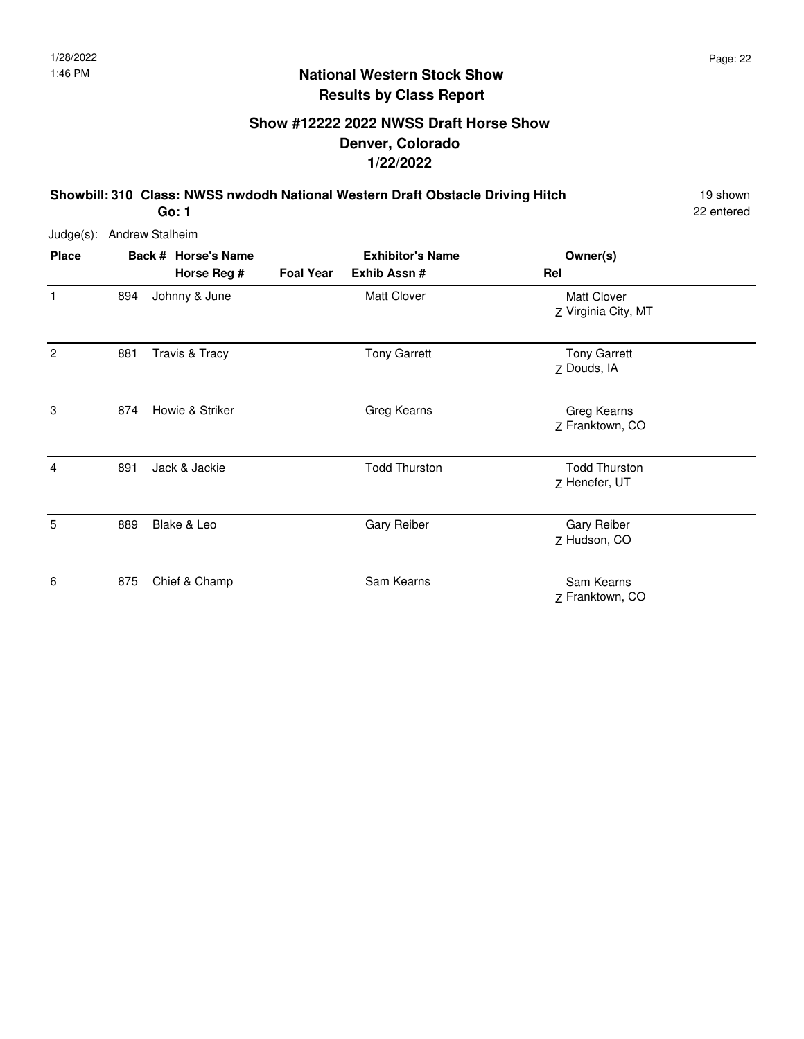## **Show #12222 2022 NWSS Draft Horse Show Denver, Colorado 1/22/2022**

**Showbill: 310 Class: NWSS nwdodh National Western Draft Obstacle Driving Hitch** 19 Shown

22 entered

Judge(s): Andrew Stalheim

| <b>Place</b>   |     | Back # Horse's Name |                  | <b>Exhibitor's Name</b> | Owner(s)                                  |
|----------------|-----|---------------------|------------------|-------------------------|-------------------------------------------|
|                |     | Horse Reg #         | <b>Foal Year</b> | Exhib Assn #            | Rel                                       |
| 1              | 894 | Johnny & June       |                  | <b>Matt Clover</b>      | <b>Matt Clover</b><br>Z Virginia City, MT |
| $\overline{2}$ | 881 | Travis & Tracy      |                  | <b>Tony Garrett</b>     | <b>Tony Garrett</b><br>Z Douds, IA        |
| 3              | 874 | Howie & Striker     |                  | Greg Kearns             | Greg Kearns<br>Z Franktown, CO            |
| $\overline{4}$ | 891 | Jack & Jackie       |                  | <b>Todd Thurston</b>    | <b>Todd Thurston</b><br>Z Henefer, UT     |
| 5              | 889 | Blake & Leo         |                  | <b>Gary Reiber</b>      | <b>Gary Reiber</b><br>Z Hudson, CO        |
| 6              | 875 | Chief & Champ       |                  | Sam Kearns              | Sam Kearns<br>Z Franktown, CO             |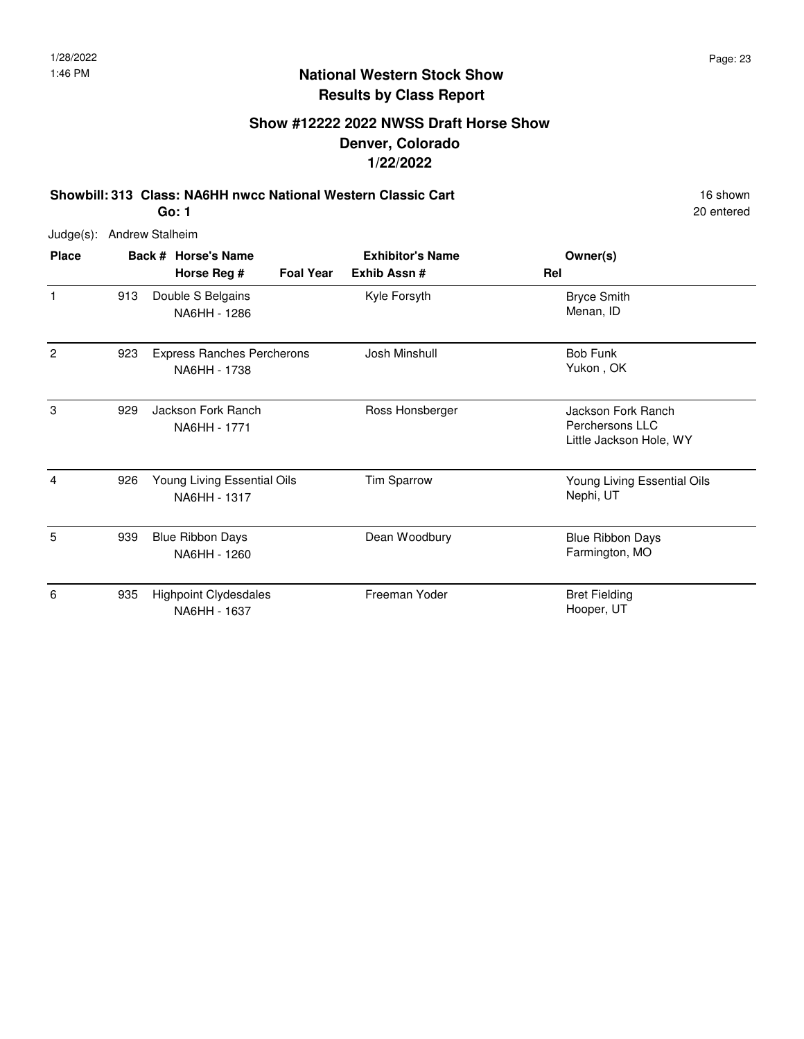## **Show #12222 2022 NWSS Draft Horse Show Denver, Colorado 1/22/2022**

**Showbill: 313 Class: NA6HH nwcc National Western Classic Cart** 16 Shown 16 shown **Go: 1**

20 entered

| <b>Place</b> |     | Back # Horse's Name                               |                  | <b>Exhibitor's Name</b> | Owner(s)                                                         |
|--------------|-----|---------------------------------------------------|------------------|-------------------------|------------------------------------------------------------------|
|              |     | Horse Reg #                                       | <b>Foal Year</b> | Exhib Assn #            | Rel                                                              |
| $\mathbf{1}$ | 913 | Double S Belgains<br>NA6HH - 1286                 |                  | Kyle Forsyth            | <b>Bryce Smith</b><br>Menan, ID                                  |
| 2            | 923 | <b>Express Ranches Percherons</b><br>NA6HH - 1738 |                  | Josh Minshull           | <b>Bob Funk</b><br>Yukon, OK                                     |
| 3            | 929 | Jackson Fork Ranch<br>NA6HH - 1771                |                  | Ross Honsberger         | Jackson Fork Ranch<br>Perchersons LLC<br>Little Jackson Hole, WY |
| 4            | 926 | Young Living Essential Oils<br>NA6HH - 1317       |                  | Tim Sparrow             | Young Living Essential Oils<br>Nephi, UT                         |
| 5            | 939 | <b>Blue Ribbon Days</b><br>NA6HH - 1260           |                  | Dean Woodbury           | <b>Blue Ribbon Days</b><br>Farmington, MO                        |
| 6            | 935 | <b>Highpoint Clydesdales</b><br>NA6HH - 1637      |                  | Freeman Yoder           | <b>Bret Fielding</b><br>Hooper, UT                               |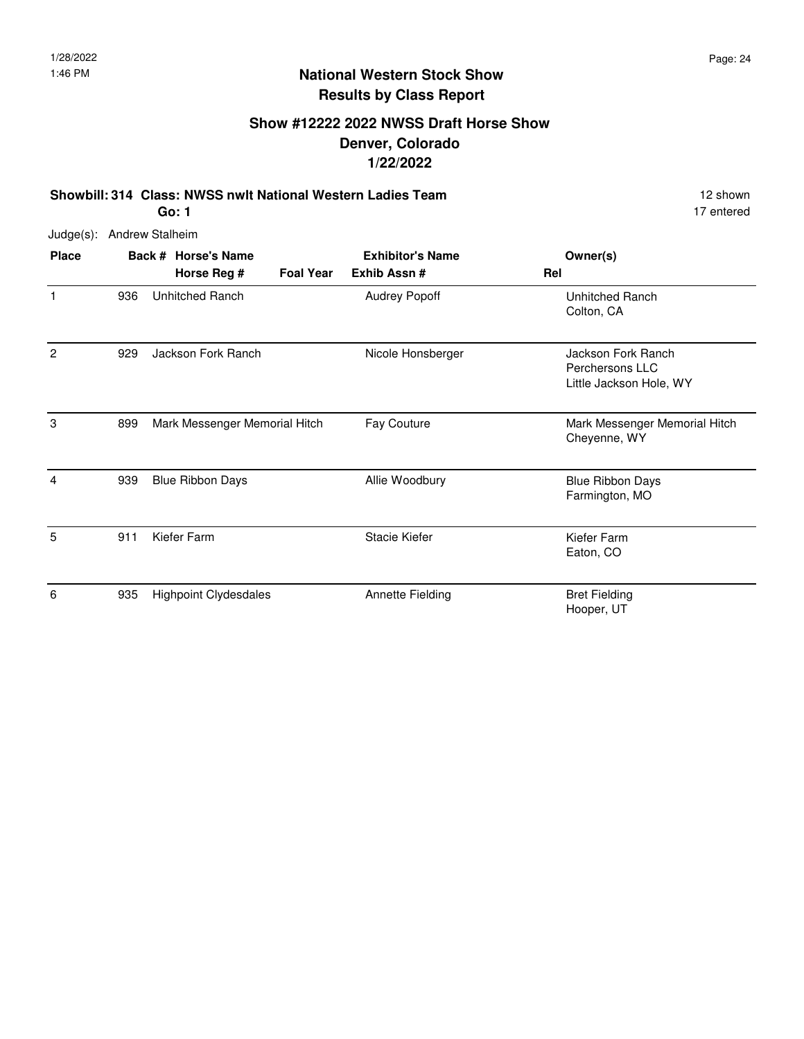### **Show #12222 2022 NWSS Draft Horse Show Denver, Colorado 1/22/2022**

**Showbill: 314 Class: NWSS nwlt National Western Ladies Team** 12 Shown 12 shown **Go: 1**

17 entered

| <b>Place</b> |     | Back # Horse's Name           | <b>Exhibitor's Name</b> |                      | Owner(s)                                                         |
|--------------|-----|-------------------------------|-------------------------|----------------------|------------------------------------------------------------------|
|              |     | Horse Reg #                   | <b>Foal Year</b>        | Exhib Assn #         | Rel                                                              |
| 1            | 936 | Unhitched Ranch               |                         | <b>Audrey Popoff</b> | Unhitched Ranch<br>Colton, CA                                    |
| 2            | 929 | Jackson Fork Ranch            |                         | Nicole Honsberger    | Jackson Fork Ranch<br>Perchersons LLC<br>Little Jackson Hole, WY |
| 3            | 899 | Mark Messenger Memorial Hitch |                         | Fay Couture          | Mark Messenger Memorial Hitch<br>Cheyenne, WY                    |
| 4            | 939 | <b>Blue Ribbon Days</b>       |                         | Allie Woodbury       | <b>Blue Ribbon Days</b><br>Farmington, MO                        |
| 5            | 911 | Kiefer Farm                   |                         | Stacie Kiefer        | Kiefer Farm<br>Eaton, CO                                         |
| 6            | 935 | <b>Highpoint Clydesdales</b>  |                         | Annette Fielding     | <b>Bret Fielding</b><br>Hooper, UT                               |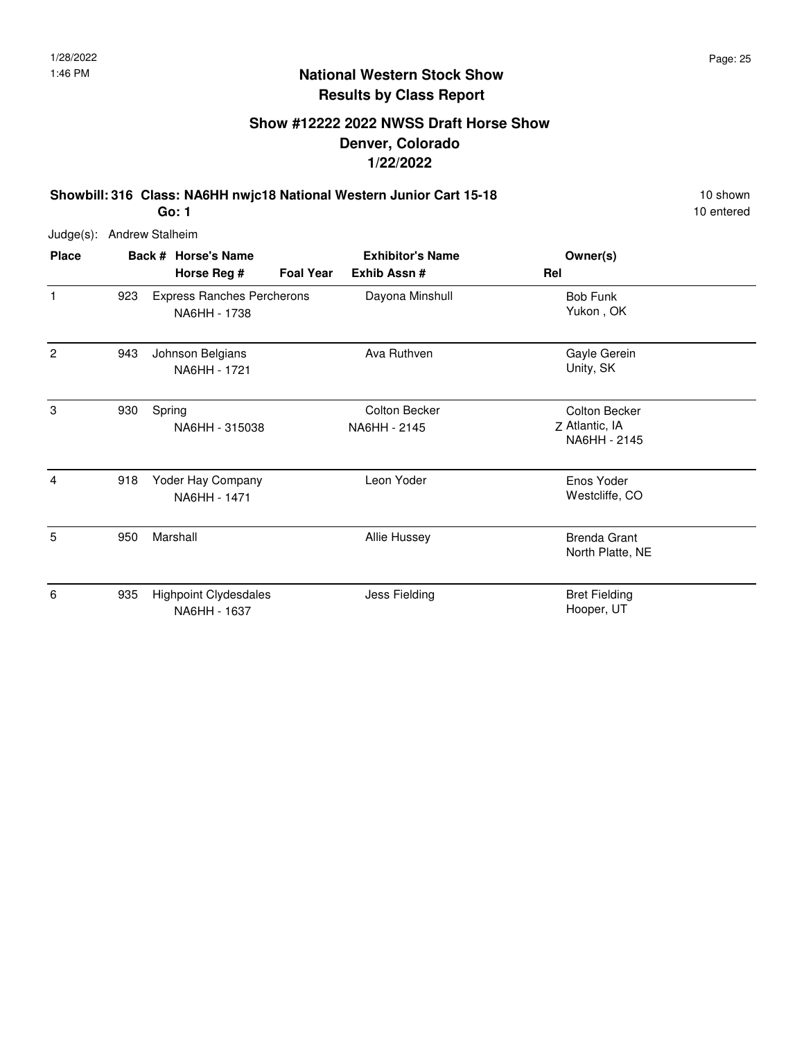## **Show #12222 2022 NWSS Draft Horse Show Denver, Colorado 1/22/2022**

**Showbill: 316 Class: NA6HH nwjc18 National Western Junior Cart 15-18** 10 Shown **Go: 1**

10 entered

| <b>Place</b> |     | Back # Horse's Name                               |                  | <b>Exhibitor's Name</b>       | Owner(s)                                               |
|--------------|-----|---------------------------------------------------|------------------|-------------------------------|--------------------------------------------------------|
|              |     | Horse Reg #                                       | <b>Foal Year</b> | Exhib Assn#                   | Rel                                                    |
| 1            | 923 | <b>Express Ranches Percherons</b><br>NA6HH - 1738 |                  | Dayona Minshull               | <b>Bob Funk</b><br>Yukon, OK                           |
| $\mathbf{2}$ | 943 | Johnson Belgians<br>NA6HH - 1721                  |                  | Ava Ruthven                   | Gayle Gerein<br>Unity, SK                              |
| 3            | 930 | Spring<br>NA6HH - 315038                          |                  | Colton Becker<br>NA6HH - 2145 | <b>Colton Becker</b><br>Z Atlantic, IA<br>NA6HH - 2145 |
| 4            | 918 | Yoder Hay Company<br>NA6HH - 1471                 |                  | Leon Yoder                    | Enos Yoder<br>Westcliffe, CO                           |
| 5            | 950 | Marshall                                          |                  | <b>Allie Hussey</b>           | <b>Brenda Grant</b><br>North Platte, NE                |
| 6            | 935 | <b>Highpoint Clydesdales</b><br>NA6HH - 1637      |                  | Jess Fielding                 | <b>Bret Fielding</b><br>Hooper, UT                     |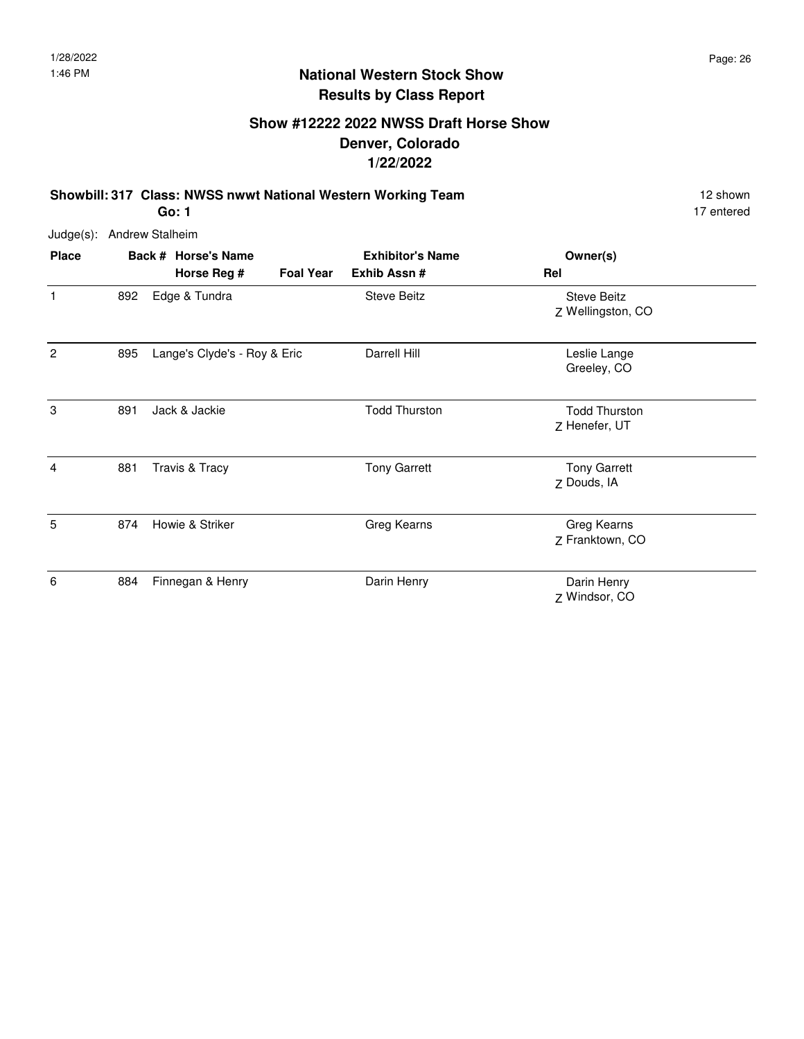## **Show #12222 2022 NWSS Draft Horse Show Denver, Colorado 1/22/2022**

**Showbill: 317 Class: NWSS nwwt National Western Working Team** 12 Shown 12 shown **Go: 1**

17 entered

| <b>Place</b>   |     | Back # Horse's Name          |                  | <b>Exhibitor's Name</b> | Owner(s)                                |  |
|----------------|-----|------------------------------|------------------|-------------------------|-----------------------------------------|--|
|                |     | Horse Reg #                  | <b>Foal Year</b> | Exhib Assn #            | Rel                                     |  |
| 1              | 892 | Edge & Tundra                |                  | <b>Steve Beitz</b>      | <b>Steve Beitz</b><br>Z Wellingston, CO |  |
| $\overline{2}$ | 895 | Lange's Clyde's - Roy & Eric |                  | Darrell Hill            | Leslie Lange<br>Greeley, CO             |  |
| 3              | 891 | Jack & Jackie                |                  | <b>Todd Thurston</b>    | <b>Todd Thurston</b><br>Z Henefer, UT   |  |
| $\overline{4}$ | 881 | Travis & Tracy               |                  | <b>Tony Garrett</b>     | <b>Tony Garrett</b><br>Z Douds, IA      |  |
| 5              | 874 | Howie & Striker              |                  | Greg Kearns             | Greg Kearns<br>Z Franktown, CO          |  |
| 6              | 884 | Finnegan & Henry             |                  | Darin Henry             | Darin Henry<br>Z Windsor, CO            |  |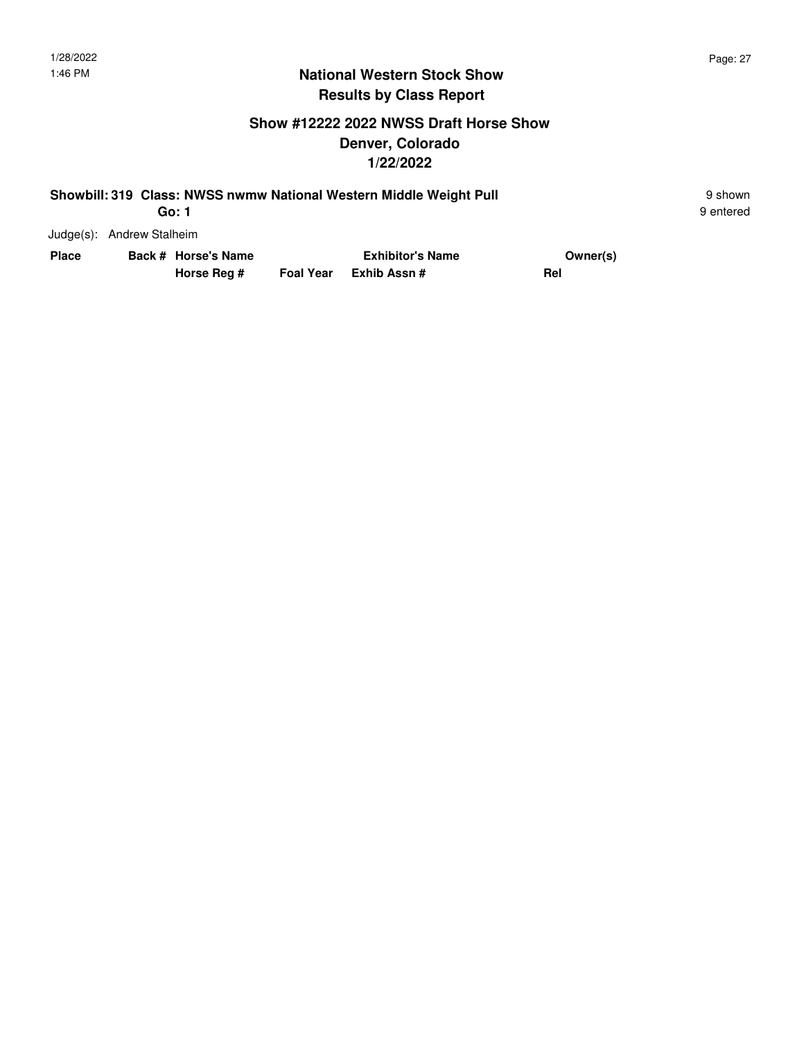#### **Show #12222 2022 NWSS Draft Horse Show Denver, Colorado 1/22/2022**

| Showbill: 319 Class: NWSS nwmw National Western Middle Weight Pull | 9 shown   |
|--------------------------------------------------------------------|-----------|
| Go: 1                                                              | 9 entered |

9 entered

| Place | Back # Horse's Name |             |  | Owner(s)               |     |
|-------|---------------------|-------------|--|------------------------|-----|
|       |                     | Horse Reg # |  | Foal Year Exhib Assn # | Rel |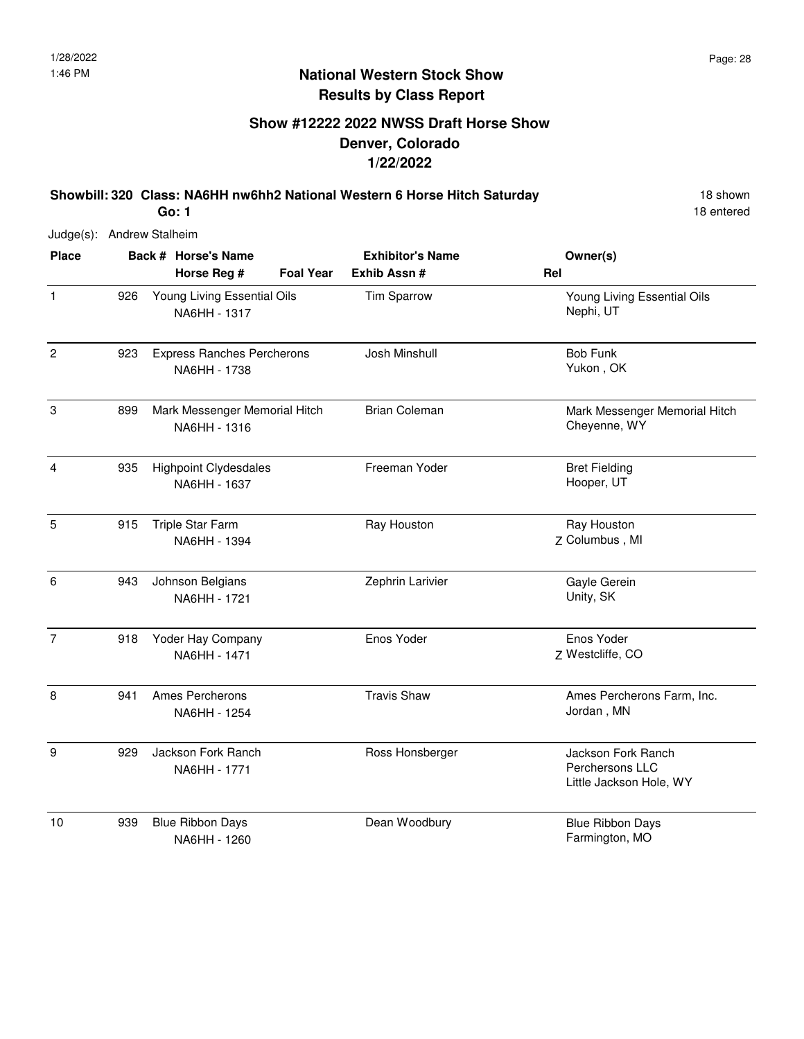## **Show #12222 2022 NWSS Draft Horse Show Denver, Colorado 1/22/2022**

**Showbill: 320 Class: NA6HH nw6hh2 National Western 6 Horse Hitch Saturday** 18 Shown

18 entered

Judge(s): Andrew Stalheim

| <b>Place</b>   |     | Back # Horse's Name                               | <b>Exhibitor's Name</b> | Owner(s)                                                         |
|----------------|-----|---------------------------------------------------|-------------------------|------------------------------------------------------------------|
|                |     | <b>Foal Year</b><br>Horse Reg #                   | Exhib Assn #            | Rel                                                              |
| $\mathbf{1}$   | 926 | Young Living Essential Oils<br>NA6HH - 1317       | Tim Sparrow             | Young Living Essential Oils<br>Nephi, UT                         |
| $\overline{2}$ | 923 | <b>Express Ranches Percherons</b><br>NA6HH - 1738 | Josh Minshull           | <b>Bob Funk</b><br>Yukon, OK                                     |
| $\,3$          | 899 | Mark Messenger Memorial Hitch<br>NA6HH - 1316     | <b>Brian Coleman</b>    | Mark Messenger Memorial Hitch<br>Cheyenne, WY                    |
| 4              | 935 | <b>Highpoint Clydesdales</b><br>NA6HH - 1637      | Freeman Yoder           | <b>Bret Fielding</b><br>Hooper, UT                               |
| 5              | 915 | Triple Star Farm<br>NA6HH - 1394                  | Ray Houston             | Ray Houston<br>Z Columbus, MI                                    |
| 6              | 943 | Johnson Belgians<br>NA6HH - 1721                  | Zephrin Larivier        | Gayle Gerein<br>Unity, SK                                        |
| $\overline{7}$ | 918 | Yoder Hay Company<br>NA6HH - 1471                 | Enos Yoder              | Enos Yoder<br>Z Westcliffe, CO                                   |
| 8              | 941 | Ames Percherons<br>NA6HH - 1254                   | <b>Travis Shaw</b>      | Ames Percherons Farm, Inc.<br>Jordan, MN                         |
| 9              | 929 | Jackson Fork Ranch<br>NA6HH - 1771                | Ross Honsberger         | Jackson Fork Ranch<br>Perchersons LLC<br>Little Jackson Hole, WY |
| 10             | 939 | <b>Blue Ribbon Days</b><br>NA6HH - 1260           | Dean Woodbury           | <b>Blue Ribbon Days</b><br>Farmington, MO                        |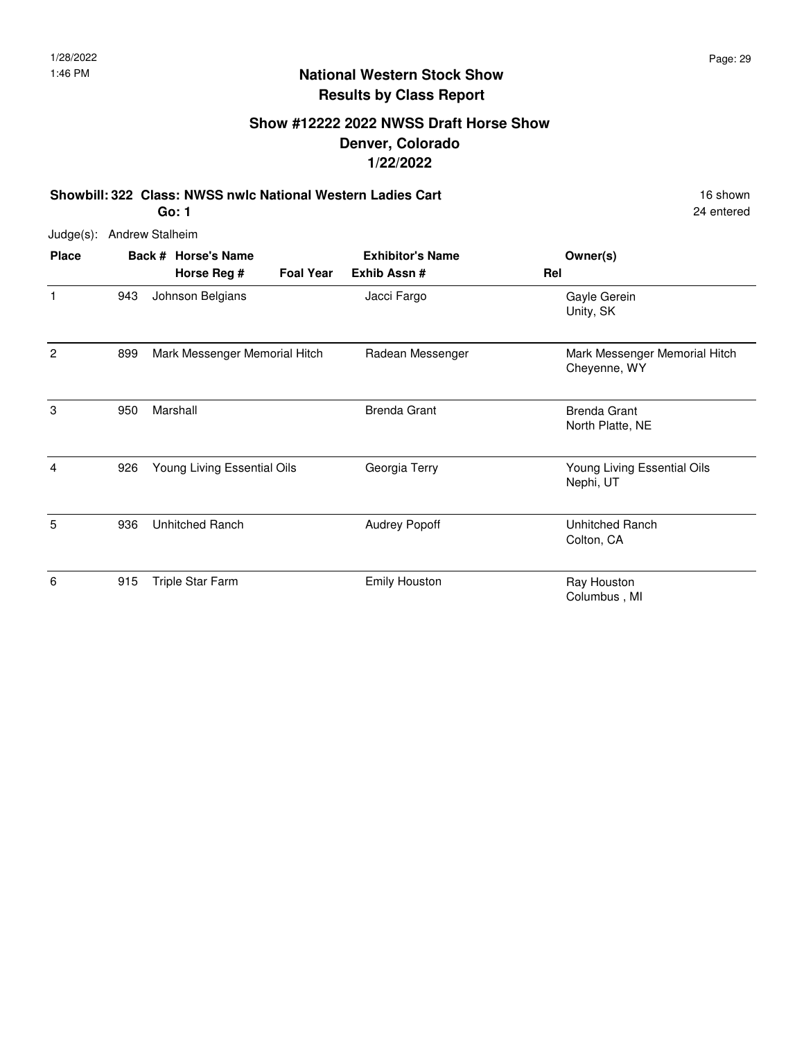#### **Show #12222 2022 NWSS Draft Horse Show Denver, Colorado 1/22/2022**

**Showbill: 322 Class: NWSS nwlc National Western Ladies Cart** 16 Shown 16 shown

24 entered

Judge(s): Andrew Stalheim

| <b>Place</b> |     | Back # Horse's Name           |                  | <b>Exhibitor's Name</b> | Owner(s)                                      |
|--------------|-----|-------------------------------|------------------|-------------------------|-----------------------------------------------|
|              |     | Horse Reg #                   | <b>Foal Year</b> | Exhib Assn#             | Rel                                           |
| 1            | 943 | Johnson Belgians              |                  | Jacci Fargo             | Gayle Gerein<br>Unity, SK                     |
| 2            | 899 | Mark Messenger Memorial Hitch |                  | Radean Messenger        | Mark Messenger Memorial Hitch<br>Cheyenne, WY |
| 3            | 950 | Marshall                      |                  | <b>Brenda Grant</b>     | <b>Brenda Grant</b><br>North Platte, NE       |
| 4            | 926 | Young Living Essential Oils   |                  | Georgia Terry           | Young Living Essential Oils<br>Nephi, UT      |
| 5            | 936 | <b>Unhitched Ranch</b>        |                  | <b>Audrey Popoff</b>    | Unhitched Ranch<br>Colton, CA                 |
| 6            | 915 | Triple Star Farm              |                  | <b>Emily Houston</b>    | Ray Houston<br>Columbus, MI                   |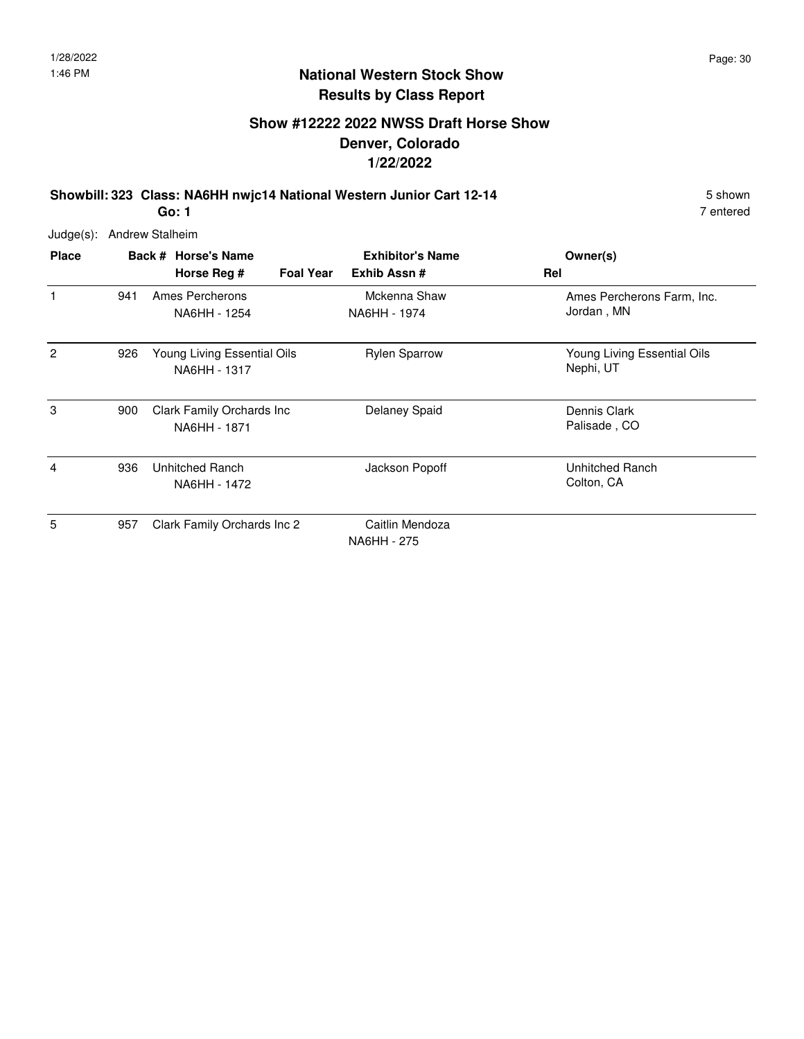#### **Show #12222 2022 NWSS Draft Horse Show Denver, Colorado 1/22/2022**

**Showbill: 323 Class: NA6HH nwjc14 National Western Junior Cart 12-14** 5 Shown **Go: 1**

7 entered

| <b>Place</b> |     | Back # Horse's Name                         |                  | <b>Exhibitor's Name</b>        | Owner(s)                                 |
|--------------|-----|---------------------------------------------|------------------|--------------------------------|------------------------------------------|
|              |     | Horse Reg #                                 | <b>Foal Year</b> | Exhib Assn#                    | Rel                                      |
| 1            | 941 | Ames Percherons<br>NA6HH - 1254             |                  | Mckenna Shaw<br>NA6HH - 1974   | Ames Percherons Farm, Inc.<br>Jordan, MN |
| 2            | 926 | Young Living Essential Oils<br>NA6HH - 1317 |                  | <b>Rylen Sparrow</b>           | Young Living Essential Oils<br>Nephi, UT |
| 3            | 900 | Clark Family Orchards Inc<br>NA6HH - 1871   |                  | Delaney Spaid                  | Dennis Clark<br>Palisade, CO             |
| 4            | 936 | Unhitched Ranch<br>NA6HH - 1472             |                  | Jackson Popoff                 | Unhitched Ranch<br>Colton, CA            |
| 5            | 957 | Clark Family Orchards Inc 2                 |                  | Caitlin Mendoza<br>NA6HH - 275 |                                          |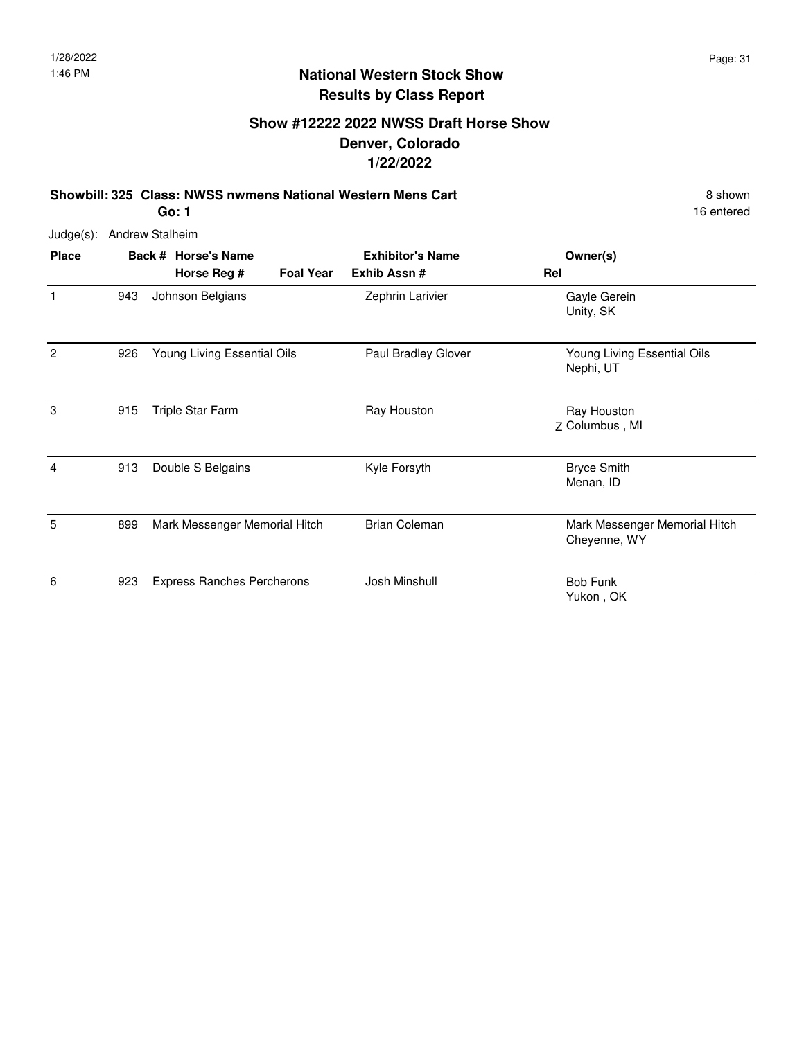## **Show #12222 2022 NWSS Draft Horse Show Denver, Colorado 1/22/2022**

**Showbill: 325 Class: NWSS nwmens National Western Mens Cart** 8 Shown 8 shown **Go: 1**

16 entered

| <b>Place</b>   |     | Back # Horse's Name               |                  | <b>Exhibitor's Name</b> | Owner(s)                                      |
|----------------|-----|-----------------------------------|------------------|-------------------------|-----------------------------------------------|
|                |     | Horse Reg #                       | <b>Foal Year</b> | Exhib Assn#             | Rel                                           |
| $\mathbf{1}$   | 943 | Johnson Belgians                  |                  | Zephrin Larivier        | Gayle Gerein<br>Unity, SK                     |
| $\overline{2}$ | 926 | Young Living Essential Oils       |                  | Paul Bradley Glover     | Young Living Essential Oils<br>Nephi, UT      |
| 3              | 915 | Triple Star Farm                  |                  | Ray Houston             | Ray Houston<br>Z Columbus, MI                 |
| 4              | 913 | Double S Belgains                 |                  | Kyle Forsyth            | <b>Bryce Smith</b><br>Menan, ID               |
| 5              | 899 | Mark Messenger Memorial Hitch     |                  | <b>Brian Coleman</b>    | Mark Messenger Memorial Hitch<br>Cheyenne, WY |
| 6              | 923 | <b>Express Ranches Percherons</b> |                  | Josh Minshull           | <b>Bob Funk</b><br>Yukon, OK                  |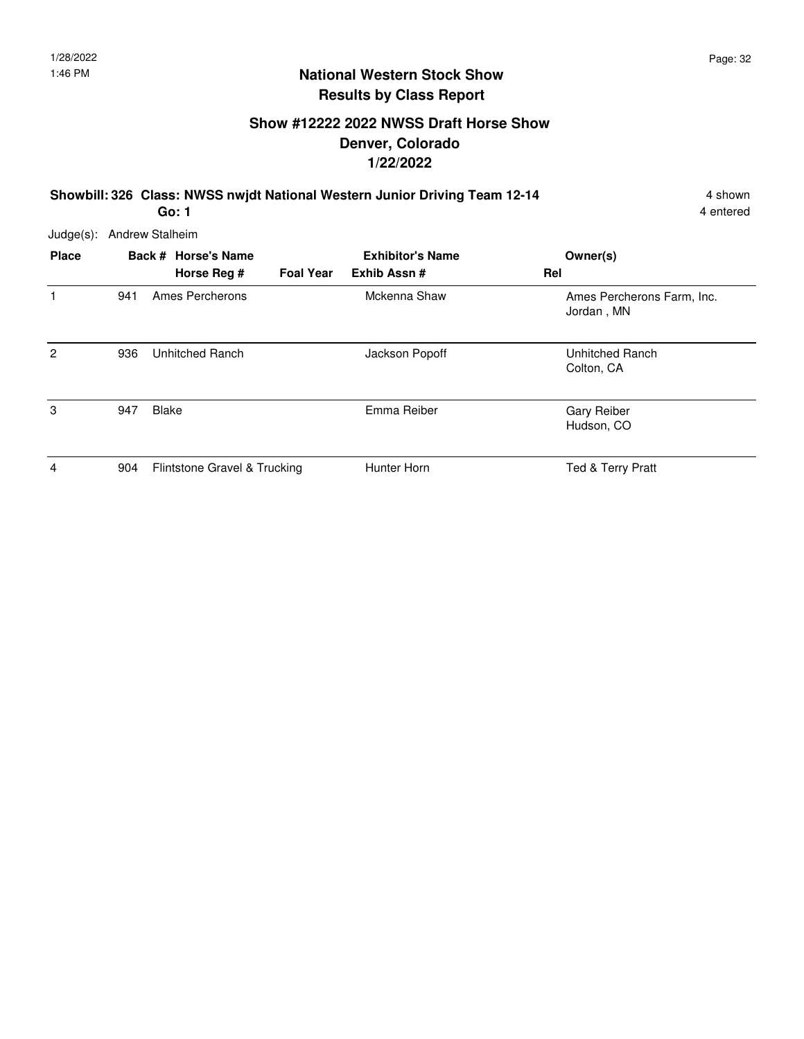## **Show #12222 2022 NWSS Draft Horse Show Denver, Colorado 1/22/2022**

**Showbill: 326 Class: NWSS nwjdt National Western Junior Driving Team 12-14** 4 shown

**Go: 1**

| $Judge(s)$ :   | <b>Andrew Stalheim</b> |                              |                  |                         |     |                                          |  |  |
|----------------|------------------------|------------------------------|------------------|-------------------------|-----|------------------------------------------|--|--|
| <b>Place</b>   |                        | Back # Horse's Name          |                  | <b>Exhibitor's Name</b> |     | Owner(s)                                 |  |  |
|                |                        | Horse Reg #                  | <b>Foal Year</b> | Exhib Assn#             | Rel |                                          |  |  |
| 1              | 941                    | Ames Percherons              |                  | Mckenna Shaw            |     | Ames Percherons Farm, Inc.<br>Jordan, MN |  |  |
| $\overline{c}$ | 936                    | Unhitched Ranch              |                  | Jackson Popoff          |     | Unhitched Ranch<br>Colton, CA            |  |  |
| 3              | 947                    | <b>Blake</b>                 |                  | Emma Reiber             |     | <b>Gary Reiber</b><br>Hudson, CO         |  |  |
| $\overline{4}$ | 904                    | Flintstone Gravel & Trucking |                  | Hunter Horn             |     | Ted & Terry Pratt                        |  |  |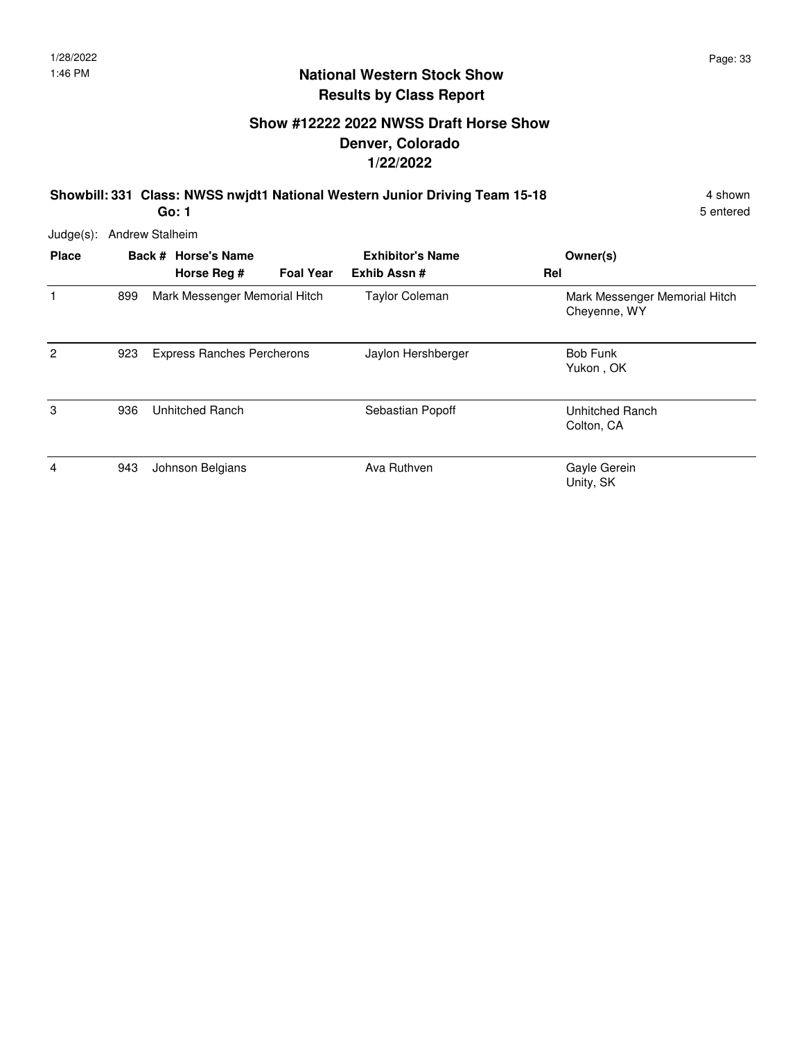## **Show #12222 2022 NWSS Draft Horse Show Denver, Colorado 1/22/2022**

**Showbill: 331 Class: NWSS nwjdt1 National Western Junior Driving Team 15-18** 4 Shown

**Go: 1**

| Judge(s):      |     | <b>Andrew Stalheim</b>             |                  |                                        |                                               |
|----------------|-----|------------------------------------|------------------|----------------------------------------|-----------------------------------------------|
| <b>Place</b>   |     | Back # Horse's Name<br>Horse Reg # | <b>Foal Year</b> | <b>Exhibitor's Name</b><br>Exhib Assn# | Owner(s)<br>Rel                               |
|                | 899 | Mark Messenger Memorial Hitch      |                  | <b>Taylor Coleman</b>                  | Mark Messenger Memorial Hitch<br>Cheyenne, WY |
| $\overline{2}$ | 923 | <b>Express Ranches Percherons</b>  |                  | Jaylon Hershberger                     | Bob Funk<br>Yukon, OK                         |
| 3              | 936 | Unhitched Ranch                    |                  | Sebastian Popoff                       | Unhitched Ranch<br>Colton, CA                 |
| 4              | 943 | Johnson Belgians                   |                  | Ava Ruthven                            | Gayle Gerein<br>Unity, SK                     |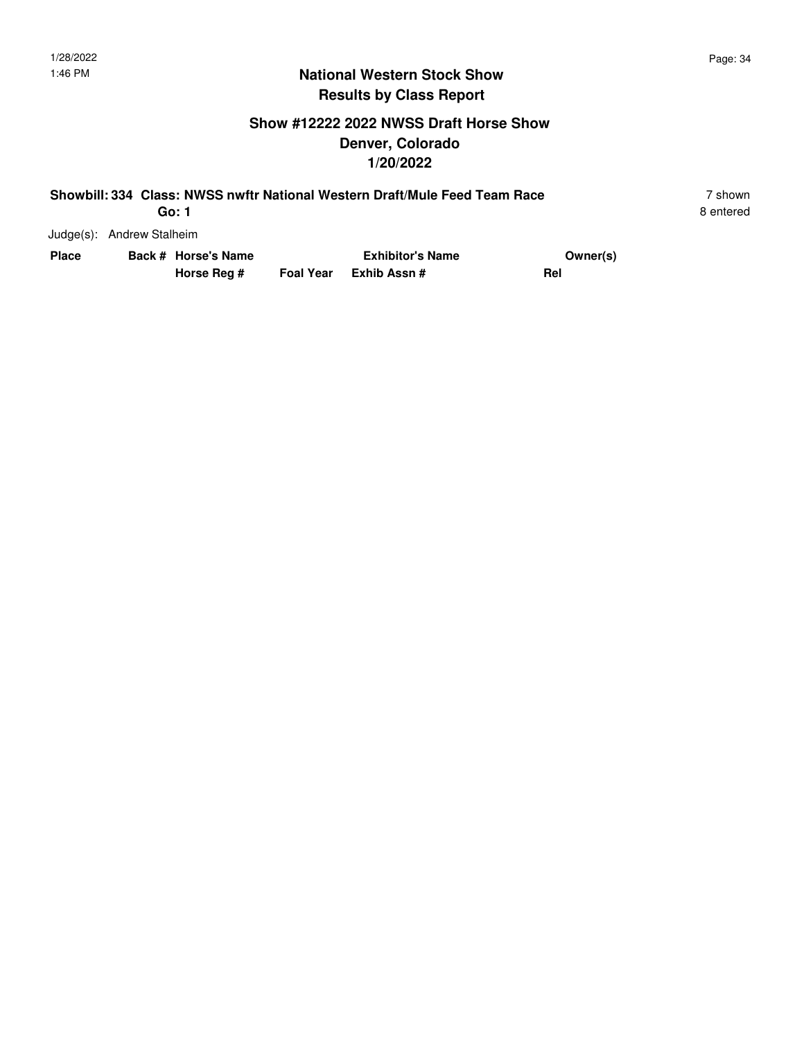#### **National Western Stock Show Results by Class Report**

#### **Show #12222 2022 NWSS Draft Horse Show Denver, Colorado 1/20/2022**

|                           | Showbill: 334 Class: NWSS nwftr National Western Draft/Mule Feed Team Race |               | ' shown   |  |
|---------------------------|----------------------------------------------------------------------------|---------------|-----------|--|
| Go: 1                     |                                                                            |               | 8 entered |  |
| Judge(s): Andrew Stalheim |                                                                            |               |           |  |
|                           |                                                                            | $\sim$ $\sim$ |           |  |

| Place | Back # Horse's Name |             | <b>Exhibitor's Name</b> | Owner(s)   |
|-------|---------------------|-------------|-------------------------|------------|
|       |                     | Horse Reg # | Foal Year Exhib Assn#   | <b>Rei</b> |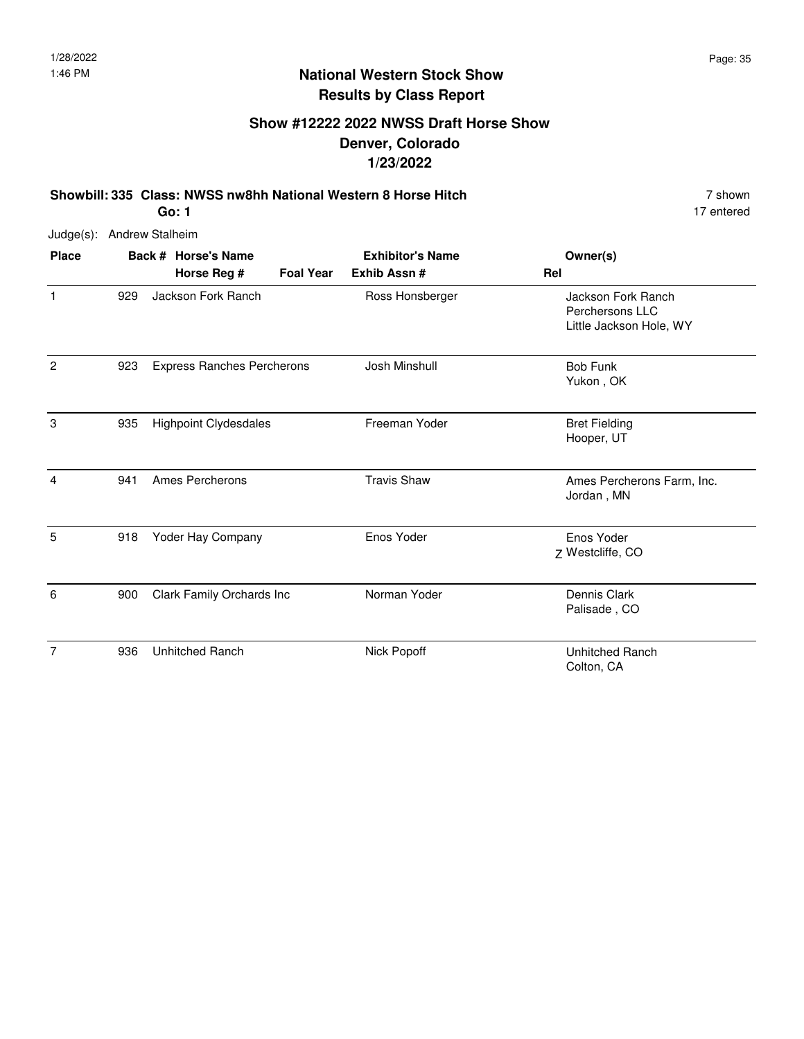## **Show #12222 2022 NWSS Draft Horse Show Denver, Colorado 1/23/2022**

**Showbill: 335 Class: NWSS nw8hh National Western 8 Horse Hitch** 7 shown **Go: 1**

17 entered

| <b>Place</b>   |     | Back # Horse's Name               | <b>Exhibitor's Name</b> | Owner(s)                                                         |
|----------------|-----|-----------------------------------|-------------------------|------------------------------------------------------------------|
|                |     | Horse Reg #<br><b>Foal Year</b>   | Exhib Assn #            | Rel                                                              |
| 1              | 929 | Jackson Fork Ranch                | Ross Honsberger         | Jackson Fork Ranch<br>Perchersons LLC<br>Little Jackson Hole, WY |
| $\overline{2}$ | 923 | <b>Express Ranches Percherons</b> | Josh Minshull           | <b>Bob Funk</b><br>Yukon, OK                                     |
| 3              | 935 | <b>Highpoint Clydesdales</b>      | Freeman Yoder           | <b>Bret Fielding</b><br>Hooper, UT                               |
| 4              | 941 | Ames Percherons                   | <b>Travis Shaw</b>      | Ames Percherons Farm, Inc.<br>Jordan, MN                         |
| 5              | 918 | Yoder Hay Company                 | Enos Yoder              | Enos Yoder<br>Z Westcliffe, CO                                   |
| 6              | 900 | Clark Family Orchards Inc         | Norman Yoder            | Dennis Clark<br>Palisade, CO                                     |
| 7              | 936 | <b>Unhitched Ranch</b>            | Nick Popoff             | <b>Unhitched Ranch</b><br>Colton, CA                             |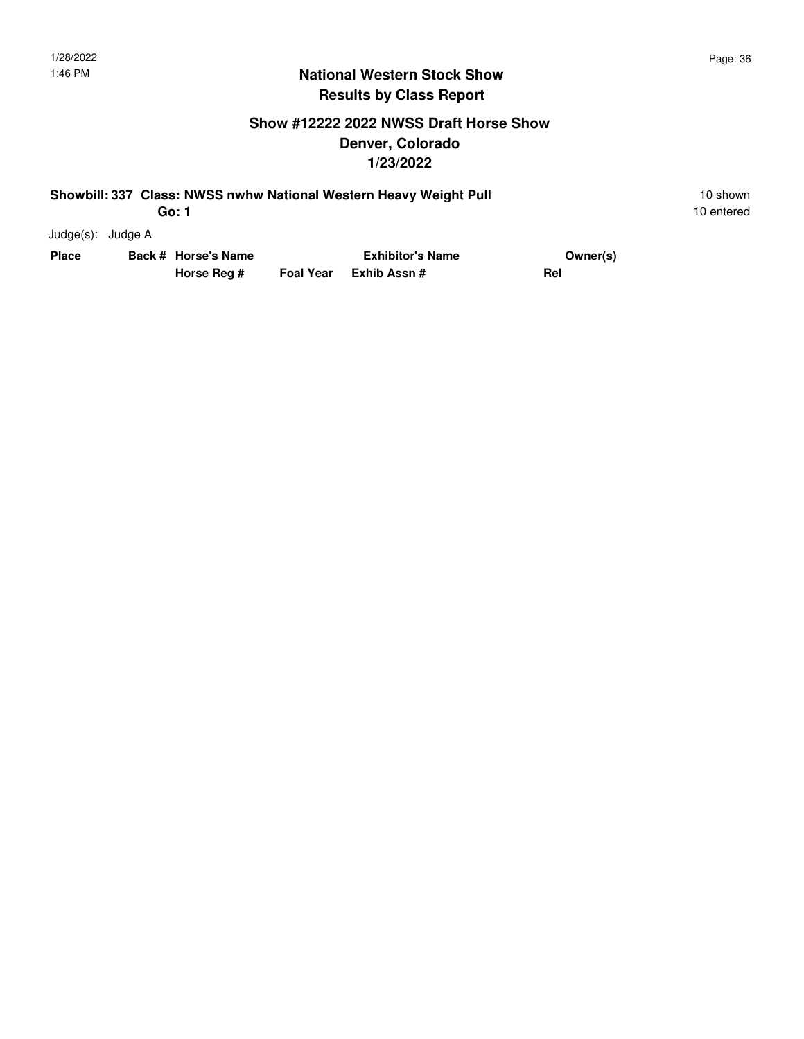#### **Show #12222 2022 NWSS Draft Horse Show Denver, Colorado 1/23/2022**

#### **Showbill: 337 Class: NWSS nwhw National Western Heavy Weight Pull** 10 Shown 10 shown **Go: 1**

| Judge(s): | Judge A |  |
|-----------|---------|--|
|-----------|---------|--|

| Place |  | Back # Horse's Name | <b>Exhibitor's Name</b> | Owner(s) |  |
|-------|--|---------------------|-------------------------|----------|--|
|       |  | Horse Reg #         | Foal Year Exhib Assn #  | Rel      |  |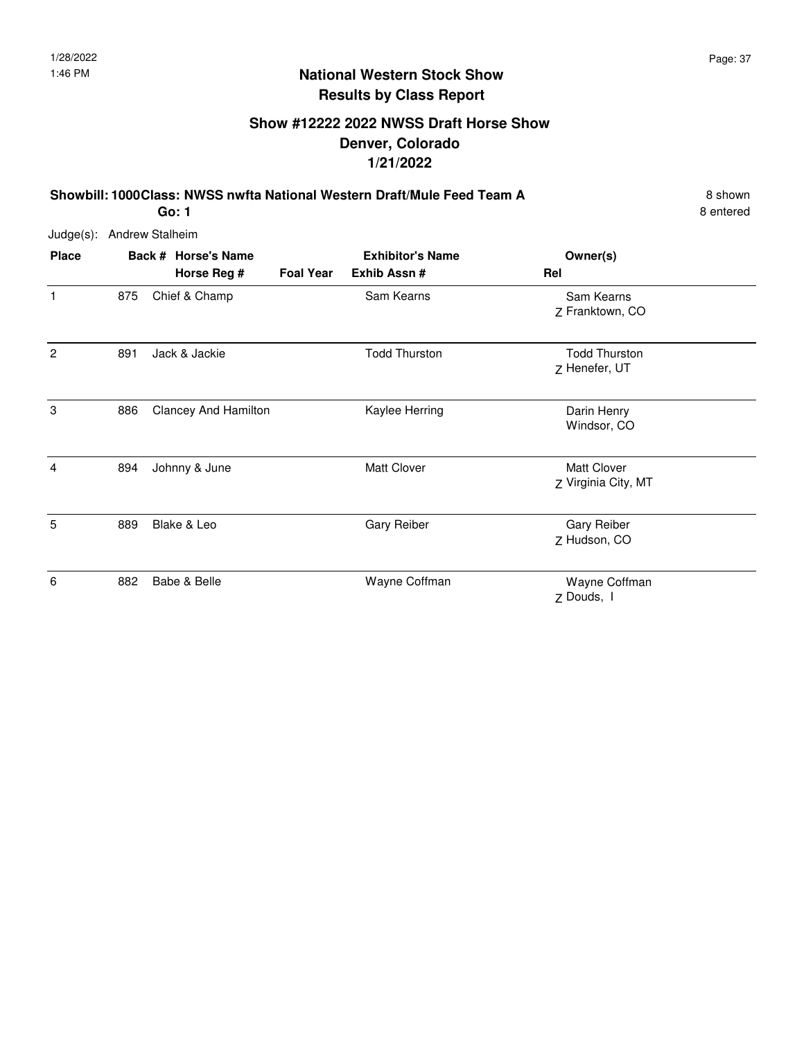## **Show #12222 2022 NWSS Draft Horse Show Denver, Colorado 1/21/2022**

**Showbill: 1000Class: NWSS nwfta National Western Draft/Mule Feed Team A** 8 shown

8 entered

| Judge(s): Andrew Stalheim |  |
|---------------------------|--|

| <b>Place</b>   |     | Back # Horse's Name         | <b>Exhibitor's Name</b> | Owner(s)             |                                           |
|----------------|-----|-----------------------------|-------------------------|----------------------|-------------------------------------------|
|                |     | Horse Reg #                 | <b>Foal Year</b>        | Exhib Assn #         | Rel                                       |
| 1              | 875 | Chief & Champ               |                         | Sam Kearns           | Sam Kearns<br>Z Franktown, CO             |
| $\overline{c}$ | 891 | Jack & Jackie               |                         | <b>Todd Thurston</b> | <b>Todd Thurston</b><br>Z Henefer, UT     |
| 3              | 886 | <b>Clancey And Hamilton</b> |                         | Kaylee Herring       | Darin Henry<br>Windsor, CO                |
| $\overline{4}$ | 894 | Johnny & June               |                         | <b>Matt Clover</b>   | <b>Matt Clover</b><br>Z Virginia City, MT |
| 5              | 889 | Blake & Leo                 |                         | Gary Reiber          | <b>Gary Reiber</b><br>Z Hudson, CO        |
| 6              | 882 | Babe & Belle                |                         | Wayne Coffman        | Wayne Coffman<br>Z Douds, I               |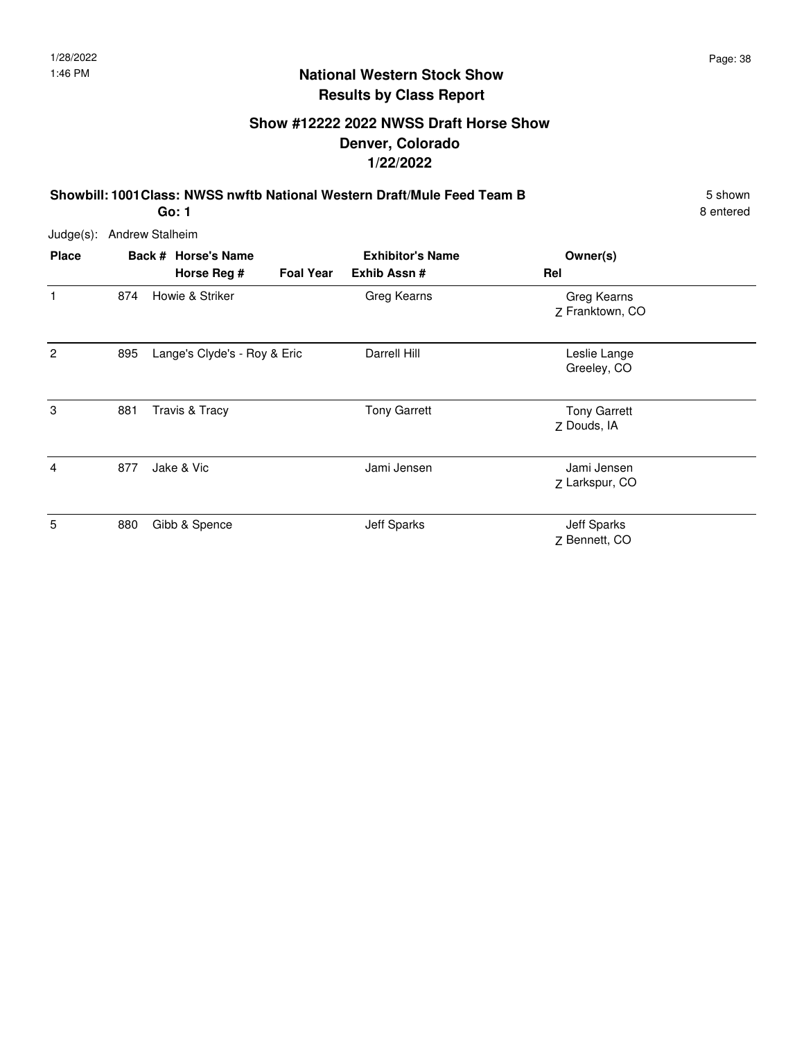## **Show #12222 2022 NWSS Draft Horse Show Denver, Colorado 1/22/2022**

**Showbill: 1001 Class: NWSS nwftb National Western Draft/Mule Feed Team B** 5 Shown

**Go: 1**

| Judge(s):    | <b>Andrew Stalheim</b> |                                    |                  |                                        |                                     |  |
|--------------|------------------------|------------------------------------|------------------|----------------------------------------|-------------------------------------|--|
| <b>Place</b> |                        | Back # Horse's Name<br>Horse Reg # | <b>Foal Year</b> | <b>Exhibitor's Name</b><br>Exhib Assn# | Owner(s)<br>Rel                     |  |
| 1            | 874                    | Howie & Striker                    |                  | Greg Kearns                            | Greg Kearns<br>Z Franktown, CO      |  |
| 2            | 895                    | Lange's Clyde's - Roy & Eric       |                  | Darrell Hill                           | Leslie Lange<br>Greeley, CO         |  |
| 3            | 881                    | Travis & Tracy                     |                  | <b>Tony Garrett</b>                    | <b>Tony Garrett</b><br>Z Douds, IA  |  |
| 4            | 877                    | Jake & Vic                         |                  | Jami Jensen                            | Jami Jensen<br>Z Larkspur, CO       |  |
| 5            | 880                    | Gibb & Spence                      |                  | Jeff Sparks                            | <b>Jeff Sparks</b><br>Z Bennett, CO |  |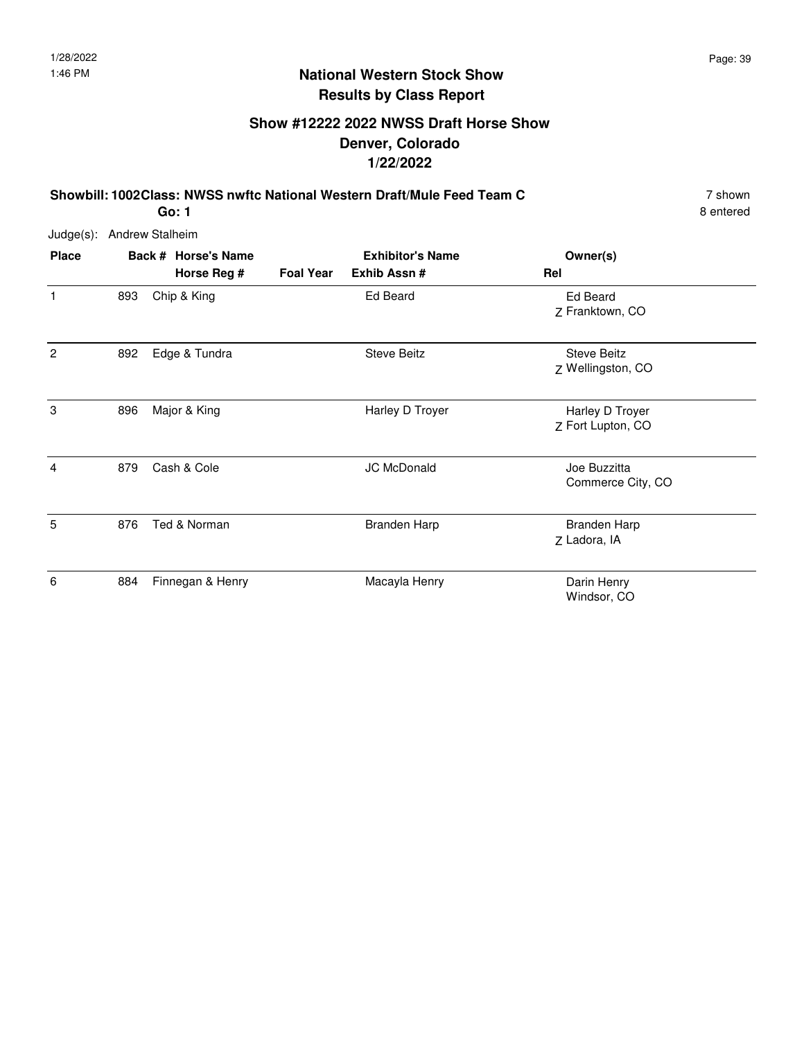## **Show #12222 2022 NWSS Draft Horse Show Denver, Colorado 1/22/2022**

**Showbill: 1002Class: NWSS nwftc National Western Draft/Mule Feed Team C** 7 shown

**Go: 1**

| Judge(s):    | <b>Andrew Stalheim</b> |                                    |                  |                                        |                                         |
|--------------|------------------------|------------------------------------|------------------|----------------------------------------|-----------------------------------------|
| <b>Place</b> |                        | Back # Horse's Name<br>Horse Reg # | <b>Foal Year</b> | <b>Exhibitor's Name</b><br>Exhib Assn# | Owner(s)<br>Rel                         |
| 1            | 893                    | Chip & King                        |                  | <b>Ed Beard</b>                        | Ed Beard<br>Z Franktown, CO             |
| 2            | 892                    | Edge & Tundra                      |                  | <b>Steve Beitz</b>                     | <b>Steve Beitz</b><br>Z Wellingston, CO |
| 3            | 896                    | Major & King                       |                  | Harley D Troyer                        | Harley D Troyer<br>Z Fort Lupton, CO    |
| 4            | 879                    | Cash & Cole                        |                  | <b>JC McDonald</b>                     | Joe Buzzitta<br>Commerce City, CO       |
| 5            | 876                    | Ted & Norman                       |                  | <b>Branden Harp</b>                    | <b>Branden Harp</b><br>Z Ladora, IA     |
| 6            | 884                    | Finnegan & Henry                   |                  | Macayla Henry                          | Darin Henry<br>Windsor, CO              |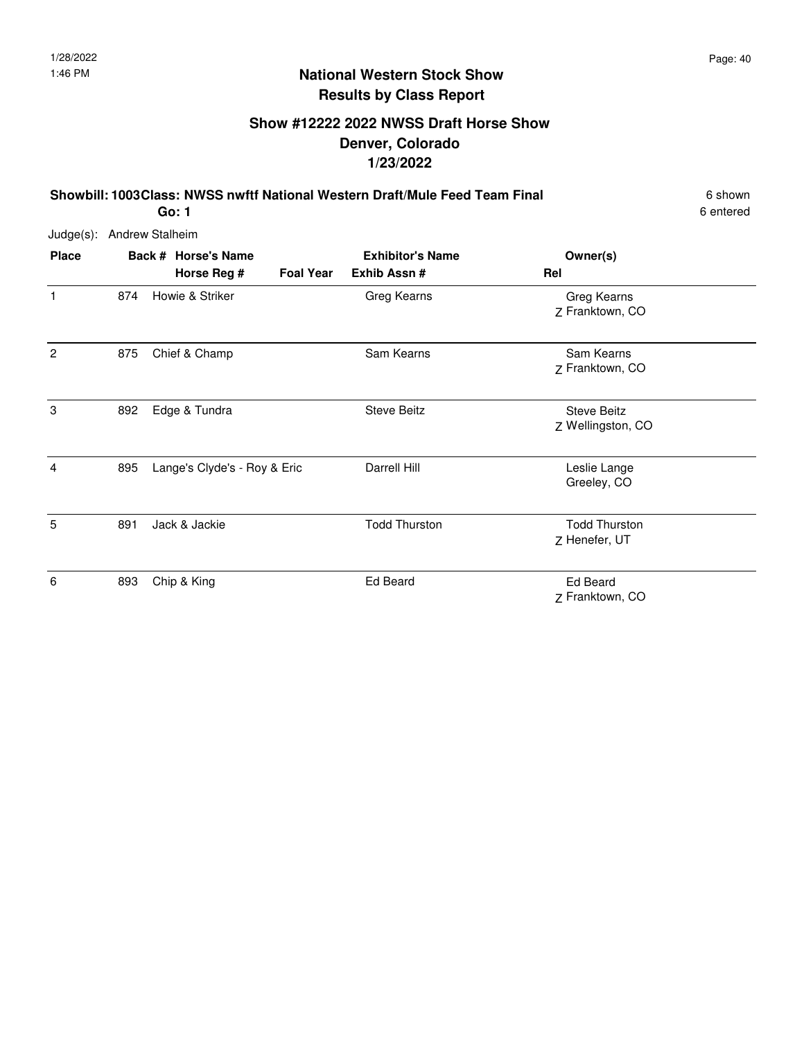## **Show #12222 2022 NWSS Draft Horse Show Denver, Colorado 1/23/2022**

**Showbill: 1003Class: NWSS nwftf National Western Draft/Mule Feed Team Final** 6 shown

6 entered

Judge(s): Andrew Stalheim

| <b>Place</b>   |     | Back # Horse's Name<br>Horse Reg # | <b>Foal Year</b> | <b>Exhibitor's Name</b><br>Exhib Assn# | Owner(s)<br>Rel                         |
|----------------|-----|------------------------------------|------------------|----------------------------------------|-----------------------------------------|
| 1              | 874 | Howie & Striker                    |                  | Greg Kearns                            | Greg Kearns<br>Z Franktown, CO          |
| $\overline{2}$ | 875 | Chief & Champ                      |                  | Sam Kearns                             | Sam Kearns<br>Z Franktown, CO           |
| 3              | 892 | Edge & Tundra                      |                  | <b>Steve Beitz</b>                     | <b>Steve Beitz</b><br>Z Wellingston, CO |
| 4              | 895 | Lange's Clyde's - Roy & Eric       |                  | Darrell Hill                           | Leslie Lange<br>Greeley, CO             |
| 5              | 891 | Jack & Jackie                      |                  | <b>Todd Thurston</b>                   | <b>Todd Thurston</b><br>Z Henefer, UT   |
| 6              | 893 | Chip & King                        |                  | Ed Beard                               | <b>Ed Beard</b><br>Z Franktown, CO      |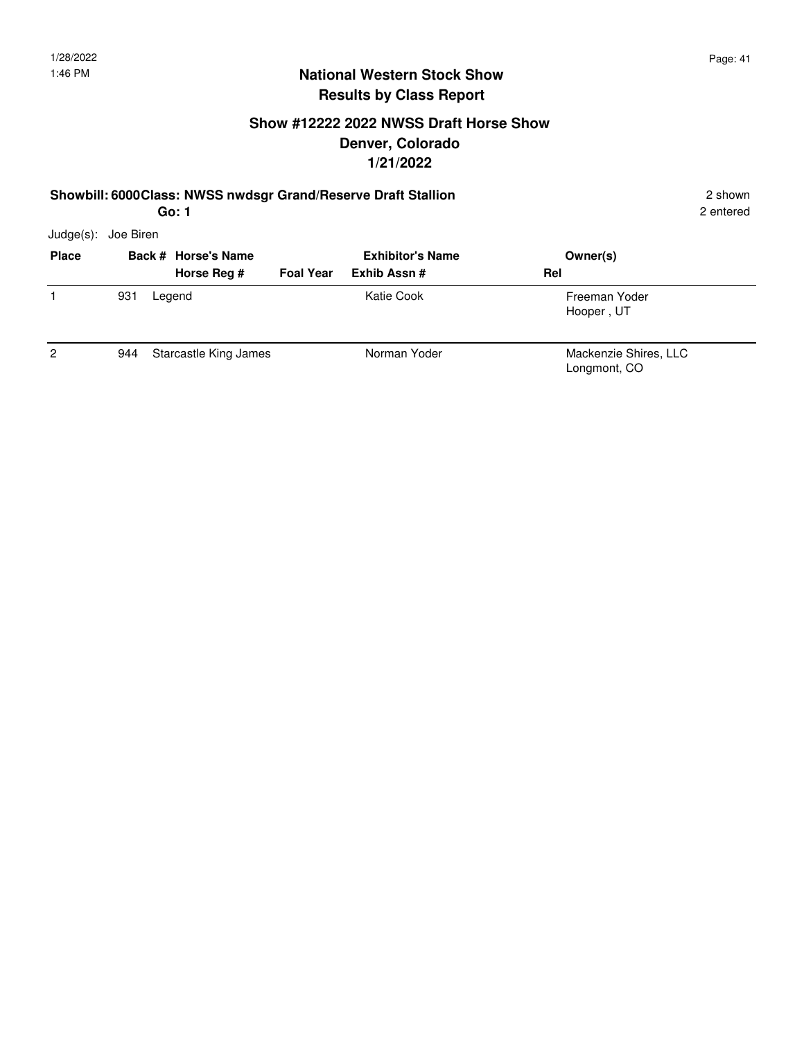2 entered

#### **National Western Stock Show Results by Class Report**

## **Show #12222 2022 NWSS Draft Horse Show Denver, Colorado 1/21/2022**

#### **Showbill: 6000Class: NWSS nwdsgr Grand/Reserve Draft Stallion** 2 shown

Judge(s): Joe Biren

| <b>Place</b>   |     | Back # Horse's Name<br>Horse Reg # | <b>Foal Year</b> | <b>Exhibitor's Name</b><br>Exhib Assn# | Owner(s)<br>Rel                       |
|----------------|-----|------------------------------------|------------------|----------------------------------------|---------------------------------------|
|                | 931 | Legend                             |                  | Katie Cook                             | Freeman Yoder<br>Hooper, UT           |
| $\overline{2}$ | 944 | Starcastle King James              |                  | Norman Yoder                           | Mackenzie Shires, LLC<br>Longmont, CO |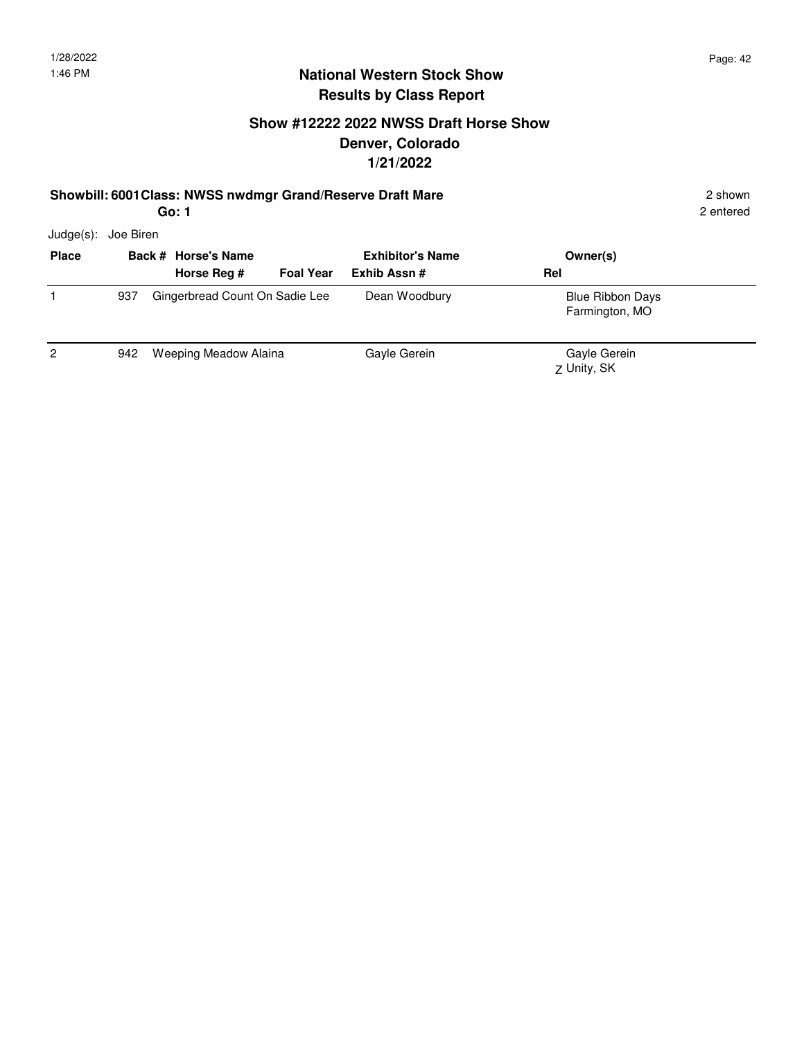2 entered

#### **National Western Stock Show Results by Class Report**

## **Show #12222 2022 NWSS Draft Horse Show Denver, Colorado 1/21/2022**

#### **Showbill: 6001 Class: NWSS nwdmgr Grand/Reserve Draft Mare** 2 shown 2 shown

**Go: 1** Judge(s): Joe Biren

| <b>Place</b> |     | Back # Horse's Name<br>Horse Reg # | <b>Foal Year</b> | <b>Exhibitor's Name</b><br>Exhib Assn# | Owner(s)<br>Rel                           |  |
|--------------|-----|------------------------------------|------------------|----------------------------------------|-------------------------------------------|--|
|              | 937 | Gingerbread Count On Sadie Lee     |                  | Dean Woodbury                          | <b>Blue Ribbon Days</b><br>Farmington, MO |  |
| 2            | 942 | Weeping Meadow Alaina              |                  | Gayle Gerein                           | Gayle Gerein<br>Z Unity, SK               |  |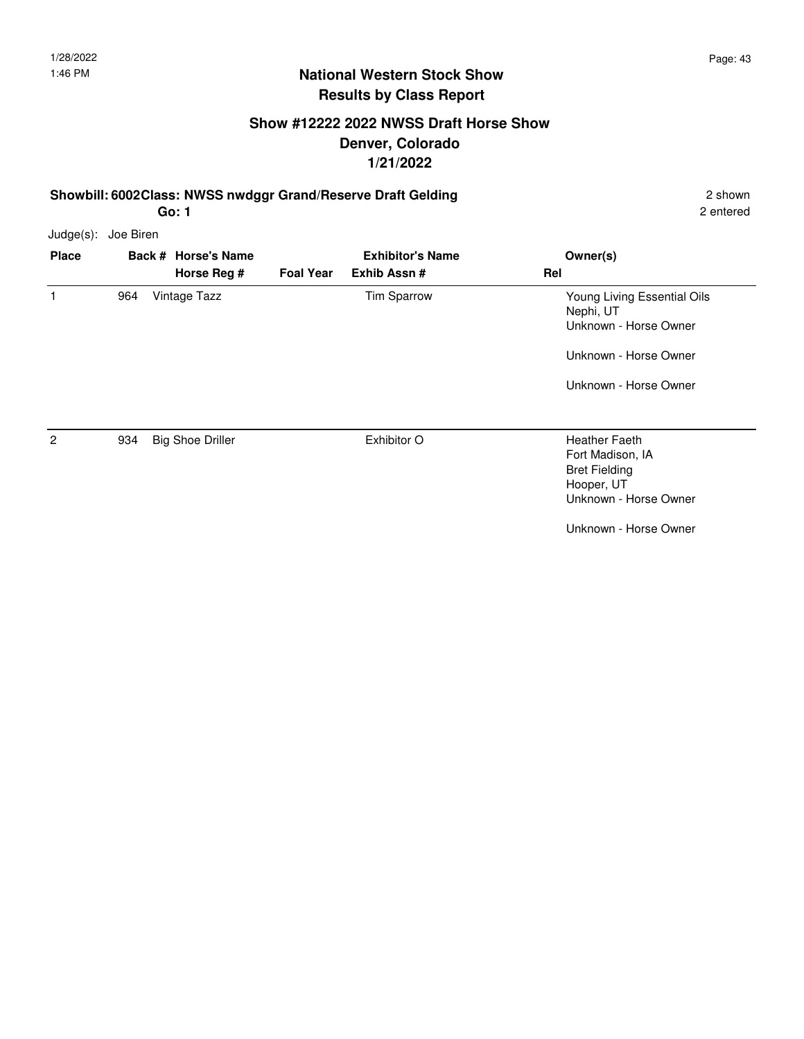## **Show #12222 2022 NWSS Draft Horse Show Denver, Colorado 1/21/2022**

**Showbill: 6002Class: NWSS nwdggr Grand/Reserve Draft Gelding 2 shown 2 shown** 2 shown

2 entered

Judge(s): Joe Biren

| <b>Place</b> |     | Back # Horse's Name     |                  | <b>Exhibitor's Name</b> | Owner(s)                                                                                                            |
|--------------|-----|-------------------------|------------------|-------------------------|---------------------------------------------------------------------------------------------------------------------|
|              |     | Horse Reg #             | <b>Foal Year</b> | Exhib Assn#             | Rel                                                                                                                 |
| 1            | 964 | Vintage Tazz            |                  | Tim Sparrow             | Young Living Essential Oils<br>Nephi, UT<br>Unknown - Horse Owner<br>Unknown - Horse Owner<br>Unknown - Horse Owner |
| 2            | 934 | <b>Big Shoe Driller</b> |                  | Exhibitor O             | <b>Heather Faeth</b><br>Fort Madison, IA<br><b>Bret Fielding</b><br>Hooper, UT<br>Unknown - Horse Owner             |
|              |     |                         |                  |                         | Unknown - Horse Owner                                                                                               |